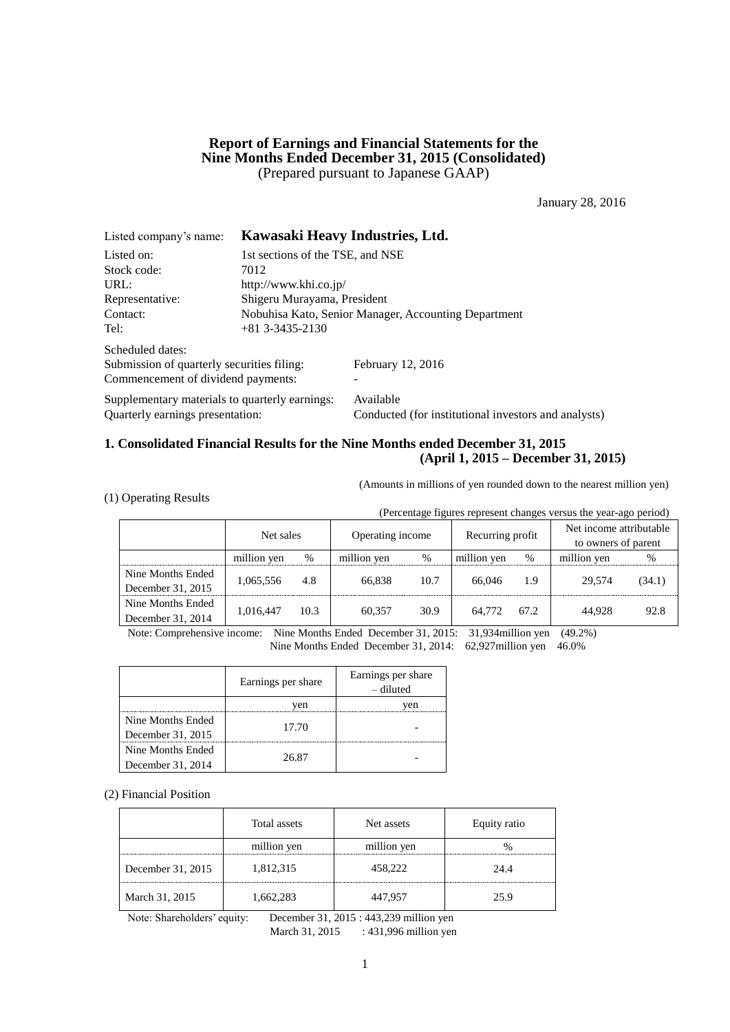### **Report of Earnings and Financial Statements for the Nine Months Ended December 31, 2015 (Consolidated)** (Prepared pursuant to Japanese GAAP)

January 28, 2016

| Listed company's name:                         |                                  | Kawasaki Heavy Industries, Ltd.                      |
|------------------------------------------------|----------------------------------|------------------------------------------------------|
| Listed on:                                     | 1st sections of the TSE, and NSE |                                                      |
| Stock code:                                    | 7012                             |                                                      |
| URL:                                           | http://www.khi.co.jp/            |                                                      |
| Representative:                                | Shigeru Murayama, President      |                                                      |
| Contact:                                       |                                  | Nobuhisa Kato, Senior Manager, Accounting Department |
| Tel:                                           | $+81$ 3-3435-2130                |                                                      |
| Scheduled dates:                               |                                  |                                                      |
| Submission of quarterly securities filing:     |                                  | February 12, 2016                                    |
| Commencement of dividend payments:             |                                  |                                                      |
| Supplementary materials to quarterly earnings: |                                  | Available                                            |
| Quarterly earnings presentation:               |                                  | Conducted (for institutional investors and analysts) |

### **1. Consolidated Financial Results for the Nine Months ended December 31, 2015 (April 1, 2015 – December 31, 2015)**

(Amounts in millions of yen rounded down to the nearest million yen)

|  |  | (1) Operating Results |  |
|--|--|-----------------------|--|
|--|--|-----------------------|--|

(Percentage figures represent changes versus the year-ago period)

|                                        | Net sales           |      | Operating income |      | Recurring profit |      | Net income attributable<br>to owners of parent |        |
|----------------------------------------|---------------------|------|------------------|------|------------------|------|------------------------------------------------|--------|
|                                        | million yen<br>$\%$ |      | million yen      | $\%$ | million yen      | $\%$ | million yen                                    | $\%$   |
| Nine Months Ended<br>December 31, 2015 | 1,065,556           | 4.8  | 66.838           | 10.7 | 66,046           | 1.9  | 29.574                                         | (34.1) |
| Nine Months Ended<br>December 31, 2014 | 1,016,447           | 10.3 | 60.357           | 30.9 | 64,772           | 67.2 | 44.928                                         | 92.8   |

Note: Comprehensive income: Nine Months Ended December 31, 2015: 31,934million yen (49.2%) Nine Months Ended December 31, 2014: 62,927million yen 46.0%

|                   | Earnings per share | Earnings per share<br>– diluted |
|-------------------|--------------------|---------------------------------|
|                   | ven                | ven                             |
| Nine Months Ended | 17.70              |                                 |
| December 31, 2015 |                    |                                 |
| Nine Months Ended | 26.87              |                                 |
| December 31, 2014 |                    |                                 |

(2) Financial Position

|                   | Total assets | Net assets  | Equity ratio |
|-------------------|--------------|-------------|--------------|
|                   | million yen  | million yen |              |
| December 31, 2015 | 1,812,315    | 458,222     | 24.4         |
| March 31, 2015    | 1,662,283    | 447,957     | 25.9         |

Note: Shareholders' equity: December 31, 2015 : 443,239 million yen

March 31, 2015 : 431,996 million yen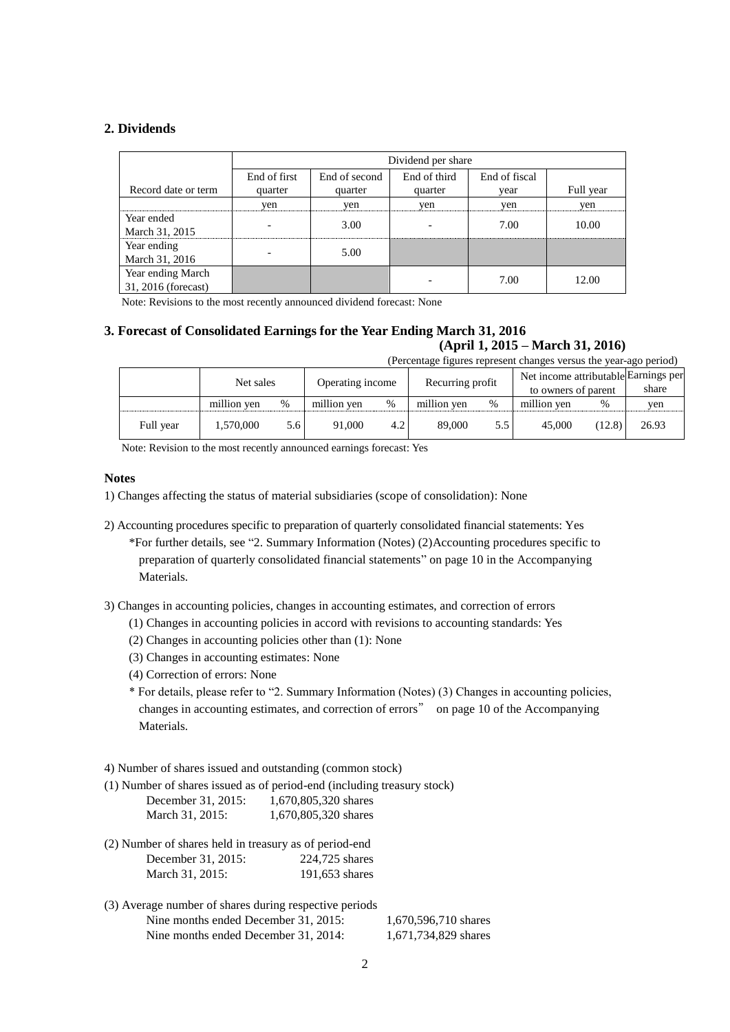### **2. Dividends**

|                     |              | Dividend per share |              |               |           |  |  |  |  |  |
|---------------------|--------------|--------------------|--------------|---------------|-----------|--|--|--|--|--|
|                     | End of first | End of second      | End of third | End of fiscal |           |  |  |  |  |  |
| Record date or term | quarter      | quarter            | quarter      | vear          | Full year |  |  |  |  |  |
|                     | yen          | yen                | yen          | yen           | yen       |  |  |  |  |  |
| Year ended          |              | 3.00               |              | 7.00          | 10.00     |  |  |  |  |  |
| March 31, 2015      |              |                    |              |               |           |  |  |  |  |  |
| Year ending         |              | 5.00               |              |               |           |  |  |  |  |  |
| March 31, 2016      |              |                    |              |               |           |  |  |  |  |  |
| Year ending March   |              |                    |              | 7.00          | 12.00     |  |  |  |  |  |
| 31, 2016 (forecast) |              |                    |              |               |           |  |  |  |  |  |

Note: Revisions to the most recently announced dividend forecast: None

# **3. Forecast of Consolidated Earnings for the Year Ending March 31, 2016**

## **(April 1, 2015 – March 31, 2016)**

|           | (Percentage figures represent changes versus the year-ago period) |      |                  |     |                  |      |                                      |        |       |  |  |
|-----------|-------------------------------------------------------------------|------|------------------|-----|------------------|------|--------------------------------------|--------|-------|--|--|
|           | Net sales                                                         |      | Operating income |     | Recurring profit |      | Net income attributable Earnings per |        |       |  |  |
|           |                                                                   |      |                  |     |                  |      | to owners of parent                  |        | share |  |  |
|           | million ven                                                       | $\%$ | million yen      | %   | million yen      | $\%$ | million yen                          | %      | yen   |  |  |
| Full year | 1,570,000                                                         | 5.6  | 91.000           | 4.2 | 89,000           | 5.5  | 45,000                               | (12.8) | 26.93 |  |  |

Note: Revision to the most recently announced earnings forecast: Yes

### **Notes**

- 1) Changes affecting the status of material subsidiaries (scope of consolidation): None
- 2) Accounting procedures specific to preparation of quarterly consolidated financial statements: Yes

\*For further details, see "2. Summary Information (Notes) (2)Accounting procedures specific to preparation of quarterly consolidated financial statements" on page 10 in the Accompanying Materials.

3) Changes in accounting policies, changes in accounting estimates, and correction of errors

- (1) Changes in accounting policies in accord with revisions to accounting standards: Yes
- (2) Changes in accounting policies other than (1): None
- (3) Changes in accounting estimates: None
- (4) Correction of errors: None
- \* For details, please refer to "2. Summary Information (Notes) (3) Changes in accounting policies, changes in accounting estimates, and correction of errors" on page 10 of the Accompanying Materials.

#### 4) Number of shares issued and outstanding (common stock)

(1) Number of shares issued as of period-end (including treasury stock)

| December 31, 2015: | 1,670,805,320 shares |
|--------------------|----------------------|
| March 31, 2015:    | 1,670,805,320 shares |

- (2) Number of shares held in treasury as of period-end December 31, 2015: 224,725 shares March 31, 2015: 191,653 shares
- (3) Average number of shares during respective periods Nine months ended December 31, 2015: 1,670,596,710 shares Nine months ended December 31, 2014: 1,671,734,829 shares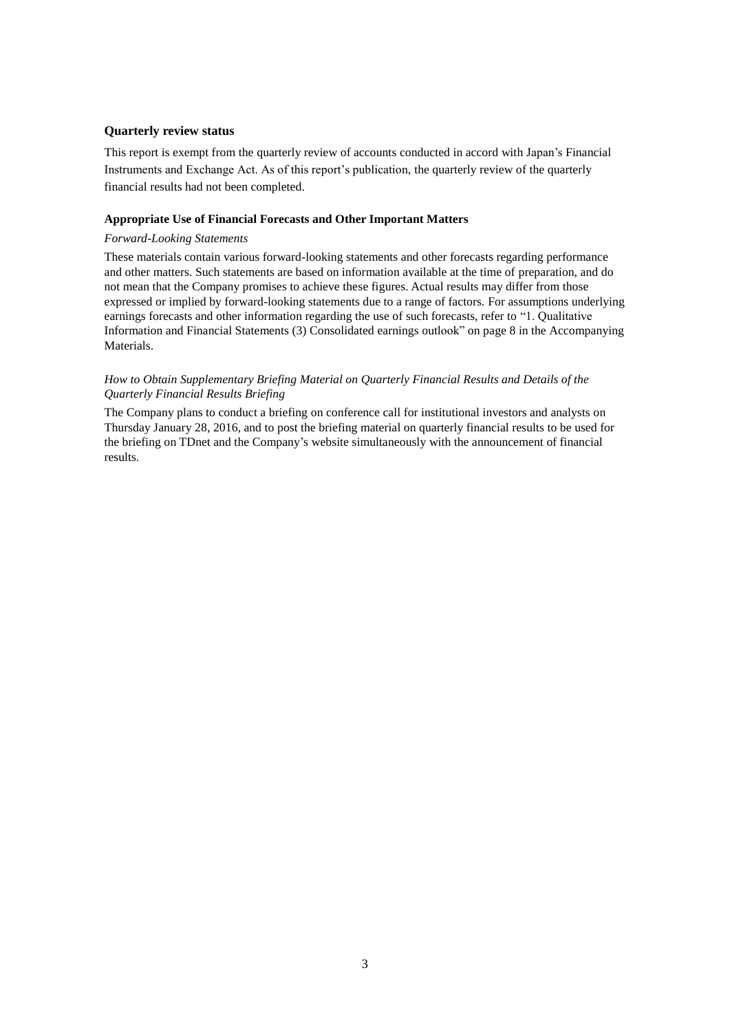### **Quarterly review status**

This report is exempt from the quarterly review of accounts conducted in accord with Japan's Financial Instruments and Exchange Act. As of this report's publication, the quarterly review of the quarterly financial results had not been completed.

#### **Appropriate Use of Financial Forecasts and Other Important Matters**

### *Forward-Looking Statements*

These materials contain various forward-looking statements and other forecasts regarding performance and other matters. Such statements are based on information available at the time of preparation, and do not mean that the Company promises to achieve these figures. Actual results may differ from those expressed or implied by forward-looking statements due to a range of factors. For assumptions underlying earnings forecasts and other information regarding the use of such forecasts, refer to "1. Qualitative Information and Financial Statements (3) Consolidated earnings outlook" on page 8 in the Accompanying Materials.

### *How to Obtain Supplementary Briefing Material on Quarterly Financial Results and Details of the Quarterly Financial Results Briefing*

The Company plans to conduct a briefing on conference call for institutional investors and analysts on Thursday January 28, 2016, and to post the briefing material on quarterly financial results to be used for the briefing on TDnet and the Company's website simultaneously with the announcement of financial results.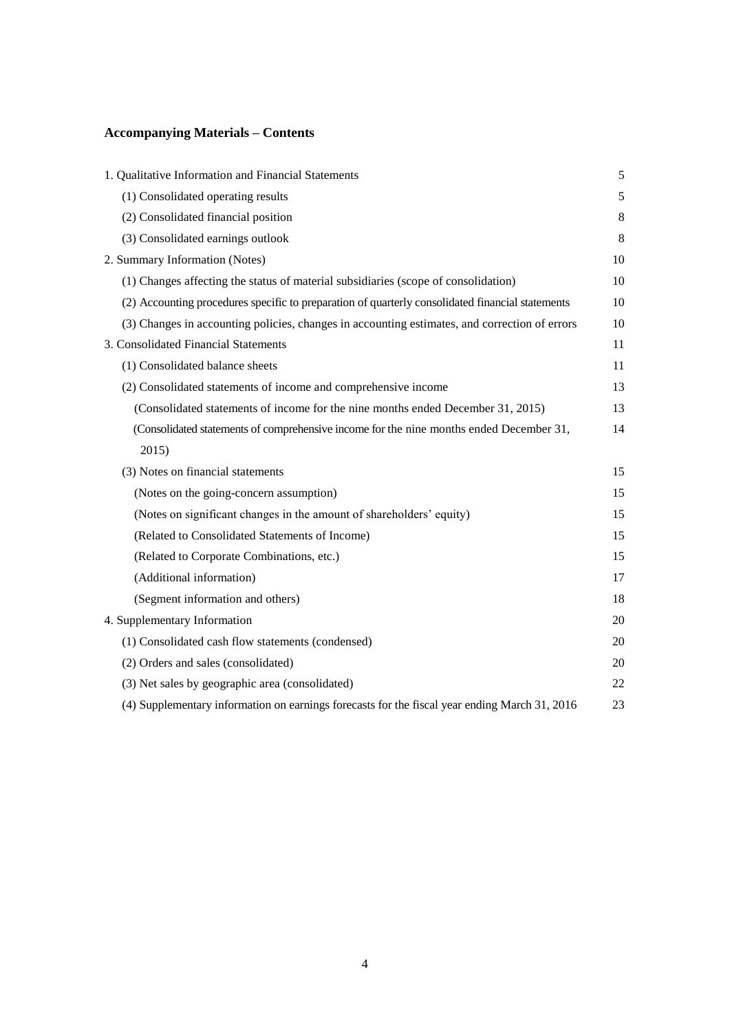## **Accompanying Materials – Contents**

| 1. Qualitative Information and Financial Statements                                              | 5     |
|--------------------------------------------------------------------------------------------------|-------|
| (1) Consolidated operating results                                                               | 5     |
| (2) Consolidated financial position                                                              | $8\,$ |
| (3) Consolidated earnings outlook                                                                | 8     |
| 2. Summary Information (Notes)                                                                   | 10    |
| (1) Changes affecting the status of material subsidiaries (scope of consolidation)               | 10    |
| (2) Accounting procedures specific to preparation of quarterly consolidated financial statements | 10    |
| (3) Changes in accounting policies, changes in accounting estimates, and correction of errors    | 10    |
| 3. Consolidated Financial Statements                                                             | 11    |
| (1) Consolidated balance sheets                                                                  | 11    |
| (2) Consolidated statements of income and comprehensive income                                   | 13    |
| (Consolidated statements of income for the nine months ended December 31, 2015)                  | 13    |
| (Consolidated statements of comprehensive income for the nine months ended December 31,          | 14    |
| 2015)                                                                                            |       |
| (3) Notes on financial statements                                                                | 15    |
| (Notes on the going-concern assumption)                                                          | 15    |
| (Notes on significant changes in the amount of shareholders' equity)                             | 15    |
| (Related to Consolidated Statements of Income)                                                   | 15    |
| (Related to Corporate Combinations, etc.)                                                        | 15    |
| (Additional information)                                                                         | 17    |
| (Segment information and others)                                                                 | 18    |
| 4. Supplementary Information                                                                     | 20    |
| (1) Consolidated cash flow statements (condensed)                                                | 20    |
| (2) Orders and sales (consolidated)                                                              | 20    |
| (3) Net sales by geographic area (consolidated)                                                  | 22    |
| (4) Supplementary information on earnings forecasts for the fiscal year ending March 31, 2016    | 23    |
|                                                                                                  |       |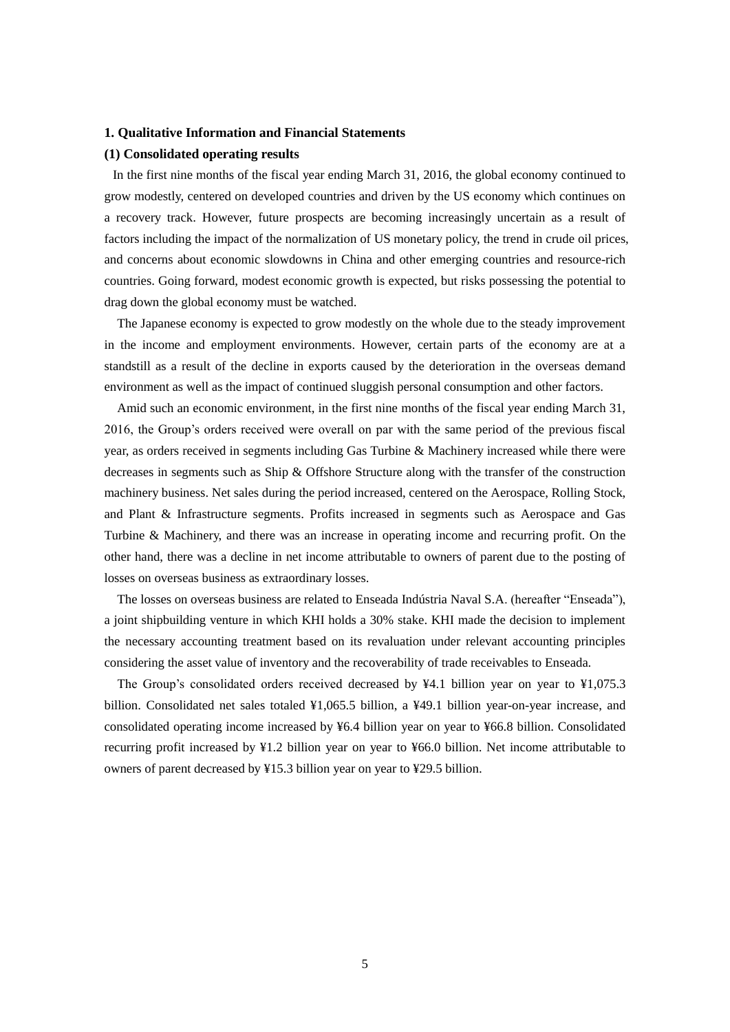### **1. Qualitative Information and Financial Statements**

### **(1) Consolidated operating results**

In the first nine months of the fiscal year ending March 31, 2016, the global economy continued to grow modestly, centered on developed countries and driven by the US economy which continues on a recovery track. However, future prospects are becoming increasingly uncertain as a result of factors including the impact of the normalization of US monetary policy, the trend in crude oil prices, and concerns about economic slowdowns in China and other emerging countries and resource-rich countries. Going forward, modest economic growth is expected, but risks possessing the potential to drag down the global economy must be watched.

The Japanese economy is expected to grow modestly on the whole due to the steady improvement in the income and employment environments. However, certain parts of the economy are at a standstill as a result of the decline in exports caused by the deterioration in the overseas demand environment as well as the impact of continued sluggish personal consumption and other factors.

Amid such an economic environment, in the first nine months of the fiscal year ending March 31, 2016, the Group's orders received were overall on par with the same period of the previous fiscal year, as orders received in segments including Gas Turbine & Machinery increased while there were decreases in segments such as Ship & Offshore Structure along with the transfer of the construction machinery business. Net sales during the period increased, centered on the Aerospace, Rolling Stock, and Plant & Infrastructure segments. Profits increased in segments such as Aerospace and Gas Turbine & Machinery, and there was an increase in operating income and recurring profit. On the other hand, there was a decline in net income attributable to owners of parent due to the posting of losses on overseas business as extraordinary losses.

The losses on overseas business are related to Enseada Indústria Naval S.A. (hereafter "Enseada"), a joint shipbuilding venture in which KHI holds a 30% stake. KHI made the decision to implement the necessary accounting treatment based on its revaluation under relevant accounting principles considering the asset value of inventory and the recoverability of trade receivables to Enseada.

 The Group's consolidated orders received decreased by ¥4.1 billion year on year to ¥1,075.3 billion. Consolidated net sales totaled ¥1,065.5 billion, a ¥49.1 billion year-on-year increase, and consolidated operating income increased by ¥6.4 billion year on year to ¥66.8 billion. Consolidated recurring profit increased by ¥1.2 billion year on year to ¥66.0 billion. Net income attributable to owners of parent decreased by ¥15.3 billion year on year to ¥29.5 billion.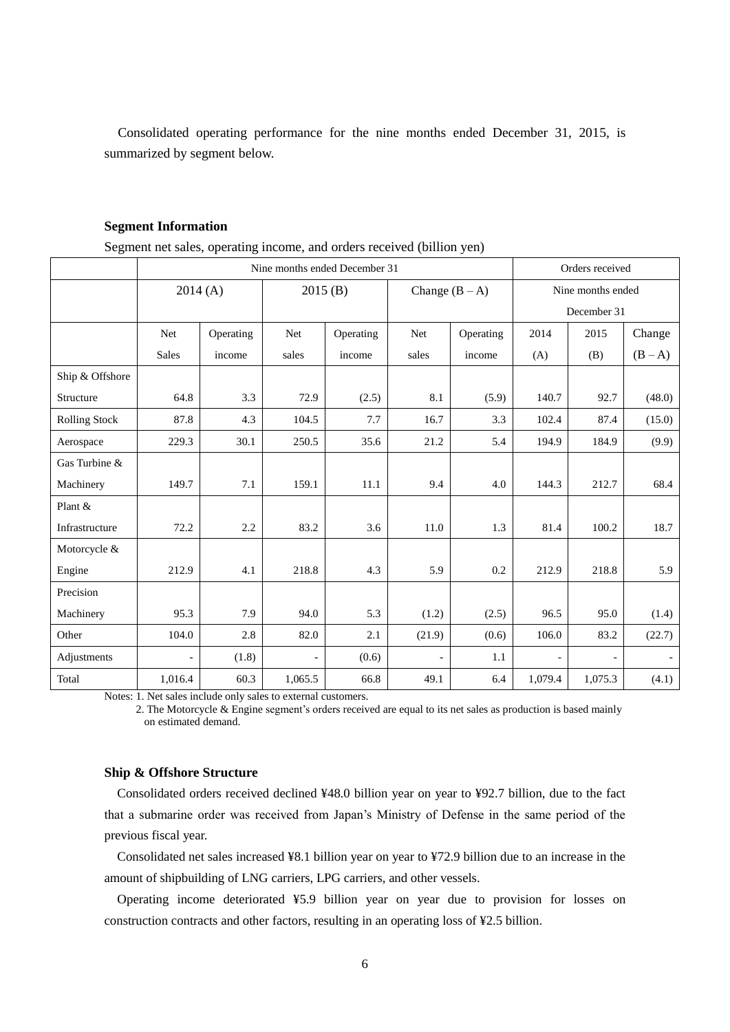Consolidated operating performance for the nine months ended December 31, 2015, is summarized by segment below.

|  | Segment net sales, operating income, and orders received (billion yen) |  |
|--|------------------------------------------------------------------------|--|
|  |                                                                        |  |

| ັ                    | Nine months ended December 31 |           |         |           |                          |                  |                | Orders received   |         |  |
|----------------------|-------------------------------|-----------|---------|-----------|--------------------------|------------------|----------------|-------------------|---------|--|
|                      | 2014(A)                       |           | 2015(B) |           |                          | Change $(B - A)$ |                | Nine months ended |         |  |
|                      |                               |           |         |           |                          |                  |                | December 31       |         |  |
|                      | Net                           | Operating | Net     | Operating | Net                      | Operating        | 2014           | 2015              | Change  |  |
|                      | <b>Sales</b>                  | income    | sales   | income    | sales                    | income           | (A)            | (B)               | $(B-A)$ |  |
| Ship & Offshore      |                               |           |         |           |                          |                  |                |                   |         |  |
| Structure            | 64.8                          | 3.3       | 72.9    | (2.5)     | 8.1                      | (5.9)            | 140.7          | 92.7              | (48.0)  |  |
| <b>Rolling Stock</b> | 87.8                          | 4.3       | 104.5   | 7.7       | 16.7                     | 3.3              | 102.4          | 87.4              | (15.0)  |  |
| Aerospace            | 229.3                         | 30.1      | 250.5   | 35.6      | 21.2                     | 5.4              | 194.9          | 184.9             | (9.9)   |  |
| Gas Turbine &        |                               |           |         |           |                          |                  |                |                   |         |  |
| Machinery            | 149.7                         | 7.1       | 159.1   | 11.1      | 9.4                      | 4.0              | 144.3          | 212.7             | 68.4    |  |
| Plant &              |                               |           |         |           |                          |                  |                |                   |         |  |
| Infrastructure       | 72.2                          | 2.2       | 83.2    | 3.6       | 11.0                     | 1.3              | 81.4           | 100.2             | 18.7    |  |
| Motorcycle &         |                               |           |         |           |                          |                  |                |                   |         |  |
| Engine               | 212.9                         | 4.1       | 218.8   | 4.3       | 5.9                      | 0.2              | 212.9          | 218.8             | 5.9     |  |
| Precision            |                               |           |         |           |                          |                  |                |                   |         |  |
| Machinery            | 95.3                          | 7.9       | 94.0    | 5.3       | (1.2)                    | (2.5)            | 96.5           | 95.0              | (1.4)   |  |
| Other                | 104.0                         | 2.8       | 82.0    | 2.1       | (21.9)                   | (0.6)            | 106.0          | 83.2              | (22.7)  |  |
| Adjustments          |                               | (1.8)     |         | (0.6)     | $\overline{\phantom{a}}$ | 1.1              | $\overline{a}$ |                   |         |  |
| Total                | 1,016.4                       | 60.3      | 1,065.5 | 66.8      | 49.1                     | 6.4              | 1,079.4        | 1,075.3           | (4.1)   |  |

Notes: 1. Net sales include only sales to external customers.

2. The Motorcycle & Engine segment's orders received are equal to its net sales as production is based mainly on estimated demand.

### **Ship & Offshore Structure**

Consolidated orders received declined ¥48.0 billion year on year to ¥92.7 billion, due to the fact that a submarine order was received from Japan's Ministry of Defense in the same period of the previous fiscal year.

Consolidated net sales increased ¥8.1 billion year on year to ¥72.9 billion due to an increase in the amount of shipbuilding of LNG carriers, LPG carriers, and other vessels.

Operating income deteriorated ¥5.9 billion year on year due to provision for losses on construction contracts and other factors, resulting in an operating loss of ¥2.5 billion.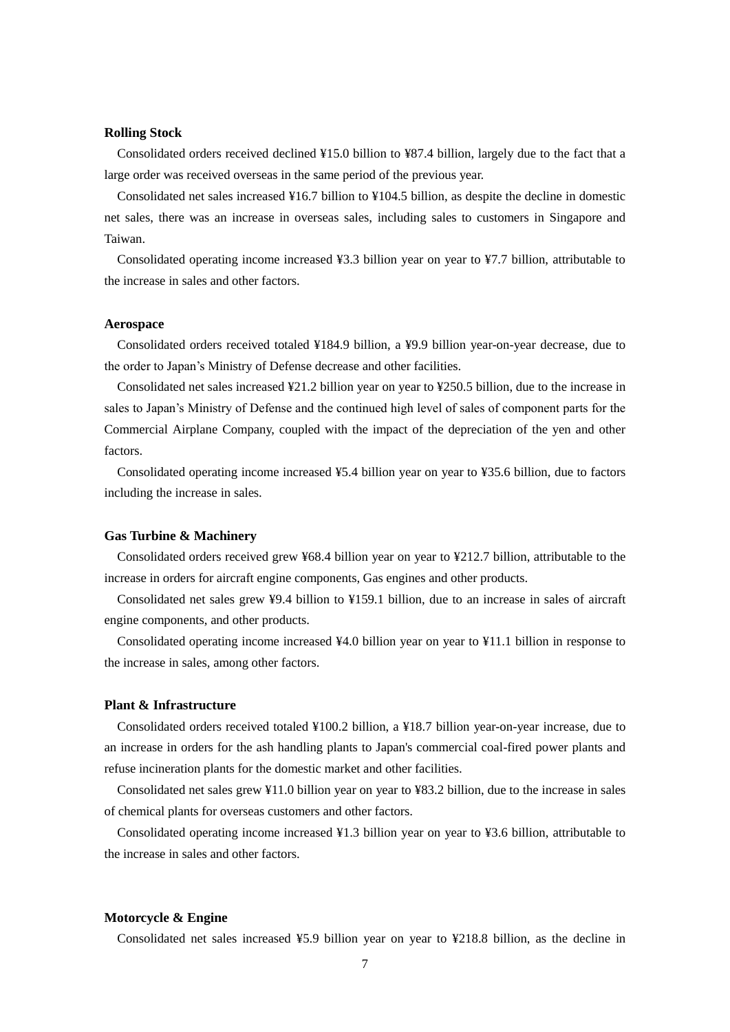### **Rolling Stock**

Consolidated orders received declined ¥15.0 billion to ¥87.4 billion, largely due to the fact that a large order was received overseas in the same period of the previous year.

Consolidated net sales increased ¥16.7 billion to ¥104.5 billion, as despite the decline in domestic net sales, there was an increase in overseas sales, including sales to customers in Singapore and Taiwan.

Consolidated operating income increased ¥3.3 billion year on year to ¥7.7 billion, attributable to the increase in sales and other factors.

#### **Aerospace**

Consolidated orders received totaled ¥184.9 billion, a ¥9.9 billion year-on-year decrease, due to the order to Japan's Ministry of Defense decrease and other facilities.

Consolidated net sales increased ¥21.2 billion year on year to ¥250.5 billion, due to the increase in sales to Japan's Ministry of Defense and the continued high level of sales of component parts for the Commercial Airplane Company, coupled with the impact of the depreciation of the yen and other factors.

 Consolidated operating income increased ¥5.4 billion year on year to ¥35.6 billion, due to factors including the increase in sales.

### **Gas Turbine & Machinery**

Consolidated orders received grew ¥68.4 billion year on year to ¥212.7 billion, attributable to the increase in orders for aircraft engine components, Gas engines and other products.

Consolidated net sales grew ¥9.4 billion to ¥159.1 billion, due to an increase in sales of aircraft engine components, and other products.

Consolidated operating income increased ¥4.0 billion year on year to ¥11.1 billion in response to the increase in sales, among other factors.

### **Plant & Infrastructure**

Consolidated orders received totaled ¥100.2 billion, a ¥18.7 billion year-on-year increase, due to an increase in orders for the ash handling plants to Japan's commercial coal-fired power plants and refuse incineration plants for the domestic market and other facilities.

Consolidated net sales grew ¥11.0 billion year on year to ¥83.2 billion, due to the increase in sales of chemical plants for overseas customers and other factors.

Consolidated operating income increased ¥1.3 billion year on year to ¥3.6 billion, attributable to the increase in sales and other factors.

### **Motorcycle & Engine**

Consolidated net sales increased ¥5.9 billion year on year to ¥218.8 billion, as the decline in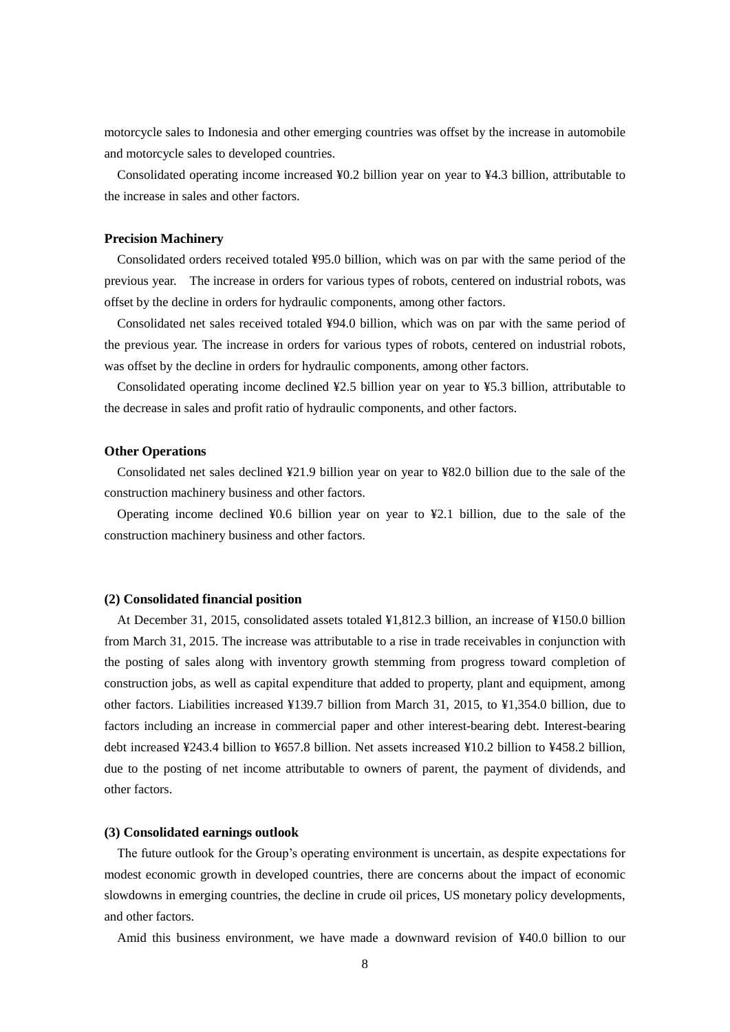motorcycle sales to Indonesia and other emerging countries was offset by the increase in automobile and motorcycle sales to developed countries.

Consolidated operating income increased ¥0.2 billion year on year to ¥4.3 billion, attributable to the increase in sales and other factors.

### **Precision Machinery**

Consolidated orders received totaled ¥95.0 billion, which was on par with the same period of the previous year. The increase in orders for various types of robots, centered on industrial robots, was offset by the decline in orders for hydraulic components, among other factors.

Consolidated net sales received totaled ¥94.0 billion, which was on par with the same period of the previous year. The increase in orders for various types of robots, centered on industrial robots, was offset by the decline in orders for hydraulic components, among other factors.

Consolidated operating income declined ¥2.5 billion year on year to ¥5.3 billion, attributable to the decrease in sales and profit ratio of hydraulic components, and other factors.

#### **Other Operations**

Consolidated net sales declined ¥21.9 billion year on year to ¥82.0 billion due to the sale of the construction machinery business and other factors.

Operating income declined ¥0.6 billion year on year to ¥2.1 billion, due to the sale of the construction machinery business and other factors.

#### **(2) Consolidated financial position**

 At December 31, 2015, consolidated assets totaled ¥1,812.3 billion, an increase of ¥150.0 billion from March 31, 2015. The increase was attributable to a rise in trade receivables in conjunction with the posting of sales along with inventory growth stemming from progress toward completion of construction jobs, as well as capital expenditure that added to property, plant and equipment, among other factors. Liabilities increased ¥139.7 billion from March 31, 2015, to ¥1,354.0 billion, due to factors including an increase in commercial paper and other interest-bearing debt. Interest-bearing debt increased ¥243.4 billion to ¥657.8 billion. Net assets increased ¥10.2 billion to ¥458.2 billion, due to the posting of net income attributable to owners of parent, the payment of dividends, and other factors.

### **(3) Consolidated earnings outlook**

 The future outlook for the Group's operating environment is uncertain, as despite expectations for modest economic growth in developed countries, there are concerns about the impact of economic slowdowns in emerging countries, the decline in crude oil prices, US monetary policy developments, and other factors.

Amid this business environment, we have made a downward revision of ¥40.0 billion to our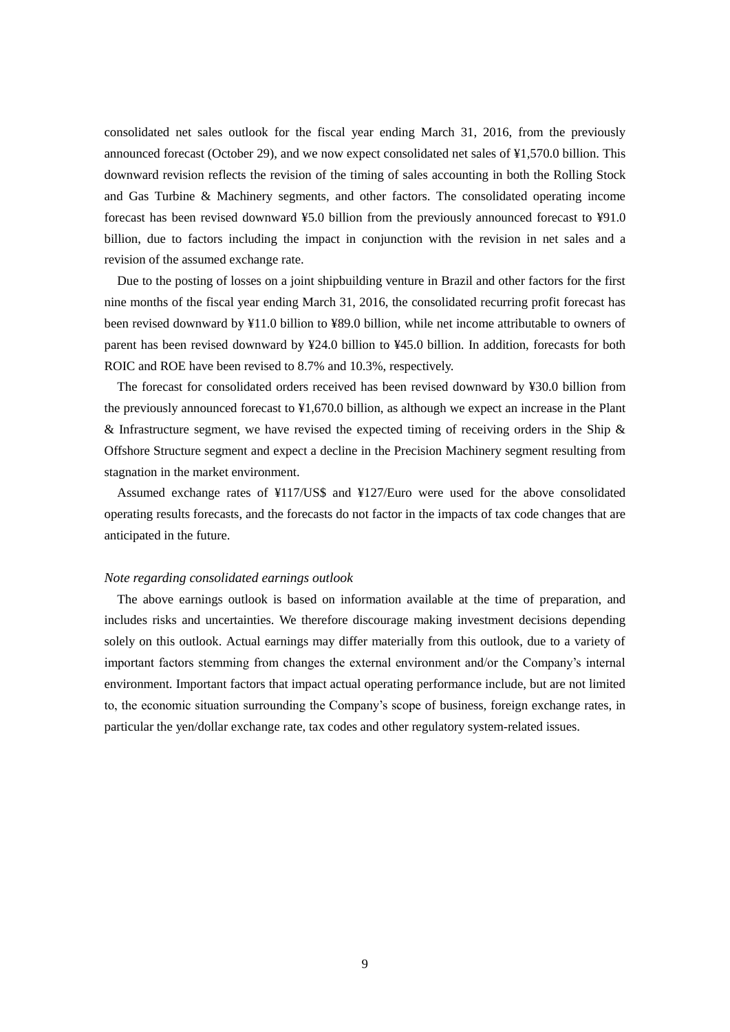consolidated net sales outlook for the fiscal year ending March 31, 2016, from the previously announced forecast (October 29), and we now expect consolidated net sales of ¥1,570.0 billion. This downward revision reflects the revision of the timing of sales accounting in both the Rolling Stock and Gas Turbine & Machinery segments, and other factors. The consolidated operating income forecast has been revised downward ¥5.0 billion from the previously announced forecast to ¥91.0 billion, due to factors including the impact in conjunction with the revision in net sales and a revision of the assumed exchange rate.

 Due to the posting of losses on a joint shipbuilding venture in Brazil and other factors for the first nine months of the fiscal year ending March 31, 2016, the consolidated recurring profit forecast has been revised downward by ¥11.0 billion to ¥89.0 billion, while net income attributable to owners of parent has been revised downward by ¥24.0 billion to ¥45.0 billion. In addition, forecasts for both ROIC and ROE have been revised to 8.7% and 10.3%, respectively.

 The forecast for consolidated orders received has been revised downward by ¥30.0 billion from the previously announced forecast to ¥1,670.0 billion, as although we expect an increase in the Plant & Infrastructure segment, we have revised the expected timing of receiving orders in the Ship  $\&$ Offshore Structure segment and expect a decline in the Precision Machinery segment resulting from stagnation in the market environment.

 Assumed exchange rates of ¥117/US\$ and ¥127/Euro were used for the above consolidated operating results forecasts, and the forecasts do not factor in the impacts of tax code changes that are anticipated in the future.

### *Note regarding consolidated earnings outlook*

The above earnings outlook is based on information available at the time of preparation, and includes risks and uncertainties. We therefore discourage making investment decisions depending solely on this outlook. Actual earnings may differ materially from this outlook, due to a variety of important factors stemming from changes the external environment and/or the Company's internal environment. Important factors that impact actual operating performance include, but are not limited to, the economic situation surrounding the Company's scope of business, foreign exchange rates, in particular the yen/dollar exchange rate, tax codes and other regulatory system-related issues.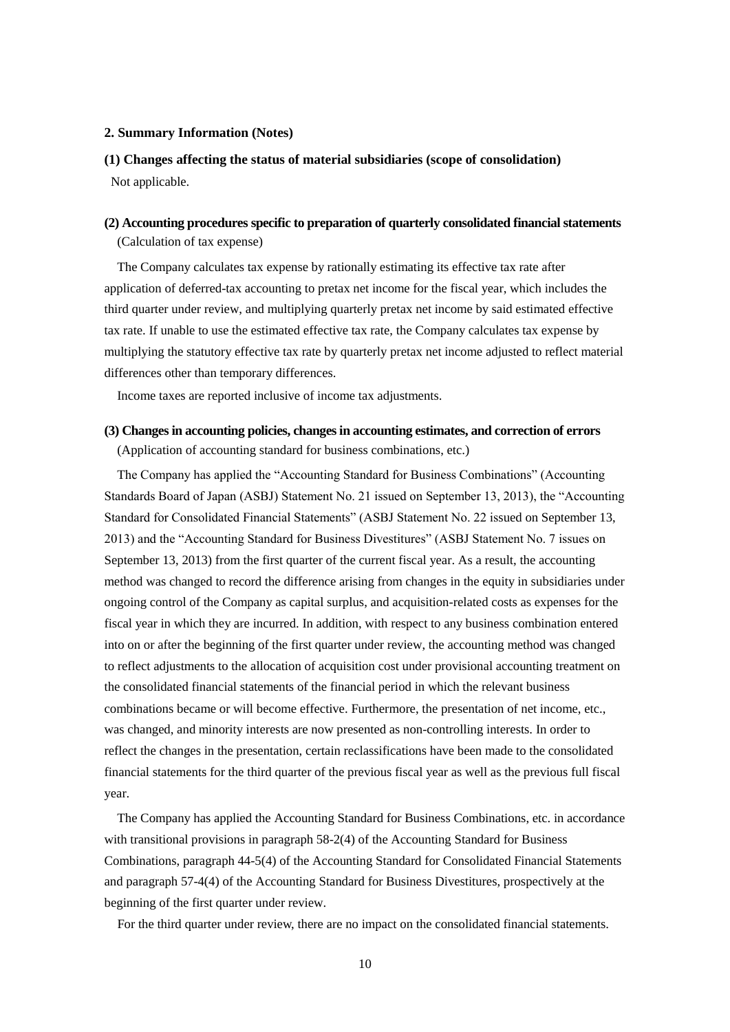### **2. Summary Information (Notes)**

## **(1) Changes affecting the status of material subsidiaries (scope of consolidation)** Not applicable.

### **(2) Accounting procedures specific to preparation of quarterly consolidated financial statements**

(Calculation of tax expense)

The Company calculates tax expense by rationally estimating its effective tax rate after application of deferred-tax accounting to pretax net income for the fiscal year, which includes the third quarter under review, and multiplying quarterly pretax net income by said estimated effective tax rate. If unable to use the estimated effective tax rate, the Company calculates tax expense by multiplying the statutory effective tax rate by quarterly pretax net income adjusted to reflect material differences other than temporary differences.

Income taxes are reported inclusive of income tax adjustments.

### **(3) Changes in accounting policies, changes in accounting estimates, and correction of errors**

(Application of accounting standard for business combinations, etc.)

The Company has applied the "Accounting Standard for Business Combinations" (Accounting Standards Board of Japan (ASBJ) Statement No. 21 issued on September 13, 2013), the "Accounting Standard for Consolidated Financial Statements" (ASBJ Statement No. 22 issued on September 13, 2013) and the "Accounting Standard for Business Divestitures" (ASBJ Statement No. 7 issues on September 13, 2013) from the first quarter of the current fiscal year. As a result, the accounting method was changed to record the difference arising from changes in the equity in subsidiaries under ongoing control of the Company as capital surplus, and acquisition-related costs as expenses for the fiscal year in which they are incurred. In addition, with respect to any business combination entered into on or after the beginning of the first quarter under review, the accounting method was changed to reflect adjustments to the allocation of acquisition cost under provisional accounting treatment on the consolidated financial statements of the financial period in which the relevant business combinations became or will become effective. Furthermore, the presentation of net income, etc., was changed, and minority interests are now presented as non-controlling interests. In order to reflect the changes in the presentation, certain reclassifications have been made to the consolidated financial statements for the third quarter of the previous fiscal year as well as the previous full fiscal year.

The Company has applied the Accounting Standard for Business Combinations, etc. in accordance with transitional provisions in paragraph 58-2(4) of the Accounting Standard for Business Combinations, paragraph 44-5(4) of the Accounting Standard for Consolidated Financial Statements and paragraph 57-4(4) of the Accounting Standard for Business Divestitures, prospectively at the beginning of the first quarter under review.

For the third quarter under review, there are no impact on the consolidated financial statements.

10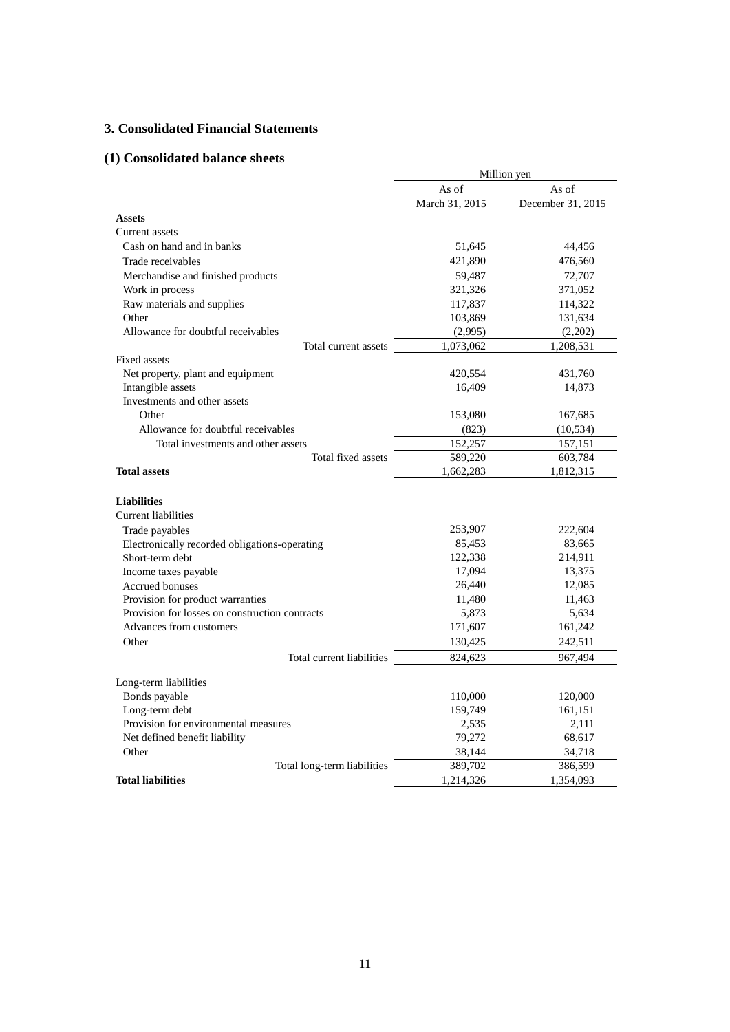## **3. Consolidated Financial Statements**

## **(1) Consolidated balance sheets**

|                                                | Million yen    |                   |  |
|------------------------------------------------|----------------|-------------------|--|
|                                                | As of<br>As of |                   |  |
|                                                | March 31, 2015 | December 31, 2015 |  |
| <b>Assets</b>                                  |                |                   |  |
| Current assets                                 |                |                   |  |
| Cash on hand and in banks                      | 51,645         | 44,456            |  |
| Trade receivables                              | 421,890        | 476,560           |  |
| Merchandise and finished products              | 59,487         | 72,707            |  |
| Work in process                                | 321,326        | 371,052           |  |
| Raw materials and supplies                     | 117,837        | 114,322           |  |
| Other                                          | 103,869        | 131,634           |  |
| Allowance for doubtful receivables             | (2,995)        | (2,202)           |  |
| Total current assets                           | 1,073,062      | 1,208,531         |  |
| Fixed assets                                   |                |                   |  |
| Net property, plant and equipment              | 420,554        | 431,760           |  |
| Intangible assets                              | 16,409         | 14,873            |  |
| Investments and other assets                   |                |                   |  |
| Other                                          | 153,080        | 167,685           |  |
| Allowance for doubtful receivables             | (823)          | (10, 534)         |  |
| Total investments and other assets             | 152,257        | 157,151           |  |
| Total fixed assets                             | 589,220        | 603,784           |  |
| <b>Total assets</b>                            | 1,662,283      | 1,812,315         |  |
|                                                |                |                   |  |
| <b>Liabilities</b>                             |                |                   |  |
| <b>Current liabilities</b>                     |                |                   |  |
| Trade payables                                 | 253,907        | 222,604           |  |
| Electronically recorded obligations-operating  | 85,453         | 83,665            |  |
| Short-term debt                                | 122,338        | 214,911           |  |
| Income taxes payable                           | 17,094         | 13,375            |  |
| Accrued bonuses                                | 26,440         | 12,085            |  |
| Provision for product warranties               | 11,480         | 11,463            |  |
| Provision for losses on construction contracts | 5,873          | 5,634             |  |
| Advances from customers                        | 171,607        | 161,242           |  |
| Other                                          | 130,425        | 242,511           |  |
| Total current liabilities                      | 824,623        | 967,494           |  |
| Long-term liabilities                          |                |                   |  |
| Bonds payable                                  | 110,000        | 120,000           |  |
| Long-term debt                                 | 159,749        | 161,151           |  |
| Provision for environmental measures           | 2,535          | 2,111             |  |
| Net defined benefit liability                  | 79,272         | 68,617            |  |
| Other                                          | 38,144         | 34,718            |  |
| Total long-term liabilities                    | 389,702        | 386,599           |  |
| <b>Total liabilities</b>                       | 1,214,326      | 1,354,093         |  |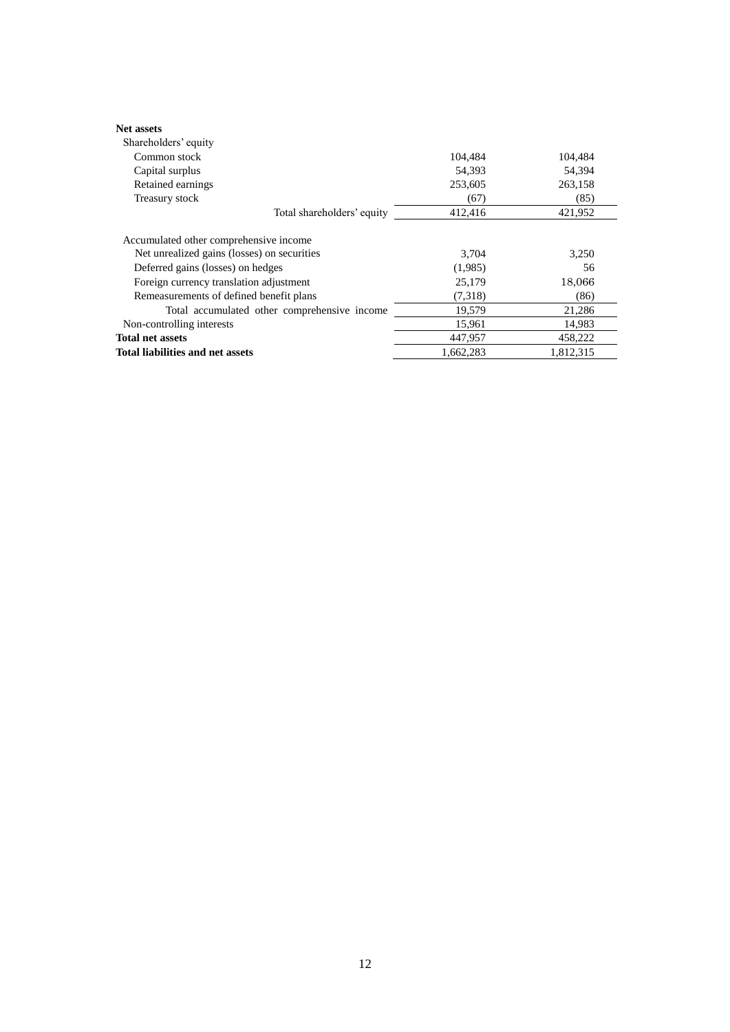| <b>Net assets</b>                            |           |           |
|----------------------------------------------|-----------|-----------|
| Shareholders' equity                         |           |           |
| Common stock                                 | 104.484   | 104.484   |
| Capital surplus                              | 54,393    | 54,394    |
| Retained earnings                            | 253,605   | 263,158   |
| Treasury stock                               | (67)      | (85)      |
| Total shareholders' equity                   | 412,416   | 421,952   |
| Accumulated other comprehensive income       |           |           |
| Net unrealized gains (losses) on securities  | 3,704     | 3,250     |
| Deferred gains (losses) on hedges            | (1,985)   | 56        |
| Foreign currency translation adjustment      | 25,179    | 18,066    |
| Remeasurements of defined benefit plans      | (7,318)   | (86)      |
| Total accumulated other comprehensive income | 19,579    | 21,286    |
| Non-controlling interests                    | 15,961    | 14,983    |
| <b>Total net assets</b>                      | 447.957   | 458,222   |
| Total liabilities and net assets             | 1,662,283 | 1,812,315 |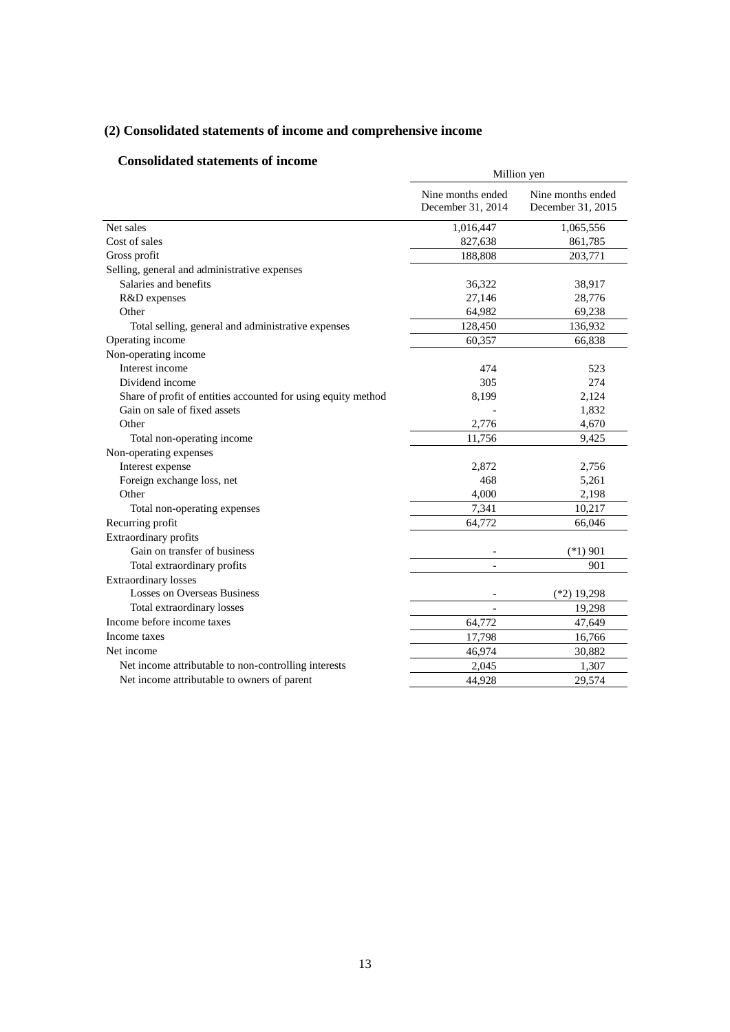## **(2) Consolidated statements of income and comprehensive income**

## **Consolidated statements of income**

| Nine months ended<br>Nine months ended<br>December 31, 2014<br>December 31, 2015<br>Net sales<br>1,016,447<br>1,065,556<br>Cost of sales<br>827,638<br>861,785<br>Gross profit<br>188,808<br>203,771<br>Selling, general and administrative expenses<br>Salaries and benefits<br>36,322<br>38,917<br>R&D expenses<br>27,146<br>28,776<br>Other<br>64,982<br>69,238<br>128,450<br>136,932<br>Total selling, general and administrative expenses<br>Operating income<br>60,357<br>66,838<br>Non-operating income<br>Interest income<br>523<br>474<br>Dividend income<br>274<br>305<br>Share of profit of entities accounted for using equity method<br>2,124<br>8,199<br>Gain on sale of fixed assets<br>1,832<br>Other<br>2,776<br>4,670<br>Total non-operating income<br>11,756<br>9,425<br>Non-operating expenses<br>Interest expense<br>2,872<br>2,756<br>Foreign exchange loss, net<br>468<br>5,261<br>Other<br>2,198<br>4,000<br>Total non-operating expenses<br>7,341<br>10,217 | Million yen |  |  |
|--------------------------------------------------------------------------------------------------------------------------------------------------------------------------------------------------------------------------------------------------------------------------------------------------------------------------------------------------------------------------------------------------------------------------------------------------------------------------------------------------------------------------------------------------------------------------------------------------------------------------------------------------------------------------------------------------------------------------------------------------------------------------------------------------------------------------------------------------------------------------------------------------------------------------------------------------------------------------------------|-------------|--|--|
|                                                                                                                                                                                                                                                                                                                                                                                                                                                                                                                                                                                                                                                                                                                                                                                                                                                                                                                                                                                      |             |  |  |
|                                                                                                                                                                                                                                                                                                                                                                                                                                                                                                                                                                                                                                                                                                                                                                                                                                                                                                                                                                                      |             |  |  |
|                                                                                                                                                                                                                                                                                                                                                                                                                                                                                                                                                                                                                                                                                                                                                                                                                                                                                                                                                                                      |             |  |  |
|                                                                                                                                                                                                                                                                                                                                                                                                                                                                                                                                                                                                                                                                                                                                                                                                                                                                                                                                                                                      |             |  |  |
|                                                                                                                                                                                                                                                                                                                                                                                                                                                                                                                                                                                                                                                                                                                                                                                                                                                                                                                                                                                      |             |  |  |
|                                                                                                                                                                                                                                                                                                                                                                                                                                                                                                                                                                                                                                                                                                                                                                                                                                                                                                                                                                                      |             |  |  |
|                                                                                                                                                                                                                                                                                                                                                                                                                                                                                                                                                                                                                                                                                                                                                                                                                                                                                                                                                                                      |             |  |  |
|                                                                                                                                                                                                                                                                                                                                                                                                                                                                                                                                                                                                                                                                                                                                                                                                                                                                                                                                                                                      |             |  |  |
|                                                                                                                                                                                                                                                                                                                                                                                                                                                                                                                                                                                                                                                                                                                                                                                                                                                                                                                                                                                      |             |  |  |
|                                                                                                                                                                                                                                                                                                                                                                                                                                                                                                                                                                                                                                                                                                                                                                                                                                                                                                                                                                                      |             |  |  |
|                                                                                                                                                                                                                                                                                                                                                                                                                                                                                                                                                                                                                                                                                                                                                                                                                                                                                                                                                                                      |             |  |  |
|                                                                                                                                                                                                                                                                                                                                                                                                                                                                                                                                                                                                                                                                                                                                                                                                                                                                                                                                                                                      |             |  |  |
|                                                                                                                                                                                                                                                                                                                                                                                                                                                                                                                                                                                                                                                                                                                                                                                                                                                                                                                                                                                      |             |  |  |
|                                                                                                                                                                                                                                                                                                                                                                                                                                                                                                                                                                                                                                                                                                                                                                                                                                                                                                                                                                                      |             |  |  |
|                                                                                                                                                                                                                                                                                                                                                                                                                                                                                                                                                                                                                                                                                                                                                                                                                                                                                                                                                                                      |             |  |  |
|                                                                                                                                                                                                                                                                                                                                                                                                                                                                                                                                                                                                                                                                                                                                                                                                                                                                                                                                                                                      |             |  |  |
|                                                                                                                                                                                                                                                                                                                                                                                                                                                                                                                                                                                                                                                                                                                                                                                                                                                                                                                                                                                      |             |  |  |
|                                                                                                                                                                                                                                                                                                                                                                                                                                                                                                                                                                                                                                                                                                                                                                                                                                                                                                                                                                                      |             |  |  |
|                                                                                                                                                                                                                                                                                                                                                                                                                                                                                                                                                                                                                                                                                                                                                                                                                                                                                                                                                                                      |             |  |  |
|                                                                                                                                                                                                                                                                                                                                                                                                                                                                                                                                                                                                                                                                                                                                                                                                                                                                                                                                                                                      |             |  |  |
|                                                                                                                                                                                                                                                                                                                                                                                                                                                                                                                                                                                                                                                                                                                                                                                                                                                                                                                                                                                      |             |  |  |
|                                                                                                                                                                                                                                                                                                                                                                                                                                                                                                                                                                                                                                                                                                                                                                                                                                                                                                                                                                                      |             |  |  |
| Recurring profit<br>64,772<br>66,046                                                                                                                                                                                                                                                                                                                                                                                                                                                                                                                                                                                                                                                                                                                                                                                                                                                                                                                                                 |             |  |  |
| Extraordinary profits                                                                                                                                                                                                                                                                                                                                                                                                                                                                                                                                                                                                                                                                                                                                                                                                                                                                                                                                                                |             |  |  |
| Gain on transfer of business<br>$(*1)$ 901                                                                                                                                                                                                                                                                                                                                                                                                                                                                                                                                                                                                                                                                                                                                                                                                                                                                                                                                           |             |  |  |
| Total extraordinary profits<br>901                                                                                                                                                                                                                                                                                                                                                                                                                                                                                                                                                                                                                                                                                                                                                                                                                                                                                                                                                   |             |  |  |
| <b>Extraordinary losses</b>                                                                                                                                                                                                                                                                                                                                                                                                                                                                                                                                                                                                                                                                                                                                                                                                                                                                                                                                                          |             |  |  |
| <b>Losses on Overseas Business</b><br>$(*2)$ 19,298                                                                                                                                                                                                                                                                                                                                                                                                                                                                                                                                                                                                                                                                                                                                                                                                                                                                                                                                  |             |  |  |
| Total extraordinary losses<br>19,298                                                                                                                                                                                                                                                                                                                                                                                                                                                                                                                                                                                                                                                                                                                                                                                                                                                                                                                                                 |             |  |  |
| Income before income taxes<br>64,772<br>47,649                                                                                                                                                                                                                                                                                                                                                                                                                                                                                                                                                                                                                                                                                                                                                                                                                                                                                                                                       |             |  |  |
| 17,798<br>Income taxes<br>16,766                                                                                                                                                                                                                                                                                                                                                                                                                                                                                                                                                                                                                                                                                                                                                                                                                                                                                                                                                     |             |  |  |
| Net income<br>46,974<br>30,882                                                                                                                                                                                                                                                                                                                                                                                                                                                                                                                                                                                                                                                                                                                                                                                                                                                                                                                                                       |             |  |  |
| Net income attributable to non-controlling interests<br>2,045<br>1,307                                                                                                                                                                                                                                                                                                                                                                                                                                                                                                                                                                                                                                                                                                                                                                                                                                                                                                               |             |  |  |
| Net income attributable to owners of parent<br>44,928<br>29,574                                                                                                                                                                                                                                                                                                                                                                                                                                                                                                                                                                                                                                                                                                                                                                                                                                                                                                                      |             |  |  |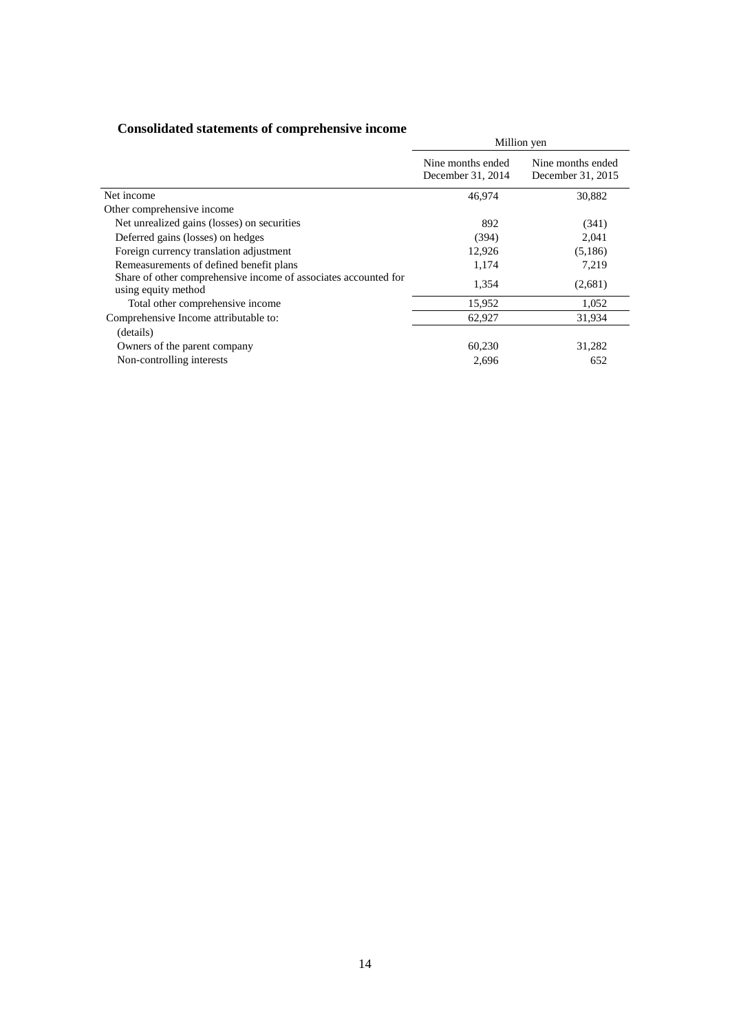| сопрончится ранениена от соптртенены , с писопис                                       | Million yen                            |                                        |  |
|----------------------------------------------------------------------------------------|----------------------------------------|----------------------------------------|--|
|                                                                                        | Nine months ended<br>December 31, 2014 | Nine months ended<br>December 31, 2015 |  |
| Net income                                                                             | 46.974                                 | 30,882                                 |  |
| Other comprehensive income                                                             |                                        |                                        |  |
| Net unrealized gains (losses) on securities                                            | 892                                    | (341)                                  |  |
| Deferred gains (losses) on hedges                                                      | (394)                                  | 2,041                                  |  |
| Foreign currency translation adjustment                                                | 12,926                                 | (5,186)                                |  |
| Remeasurements of defined benefit plans                                                | 1,174                                  | 7,219                                  |  |
| Share of other comprehensive income of associates accounted for<br>using equity method | 1,354                                  | (2,681)                                |  |
| Total other comprehensive income                                                       | 15,952                                 | 1,052                                  |  |
| Comprehensive Income attributable to:                                                  | 62,927                                 | 31,934                                 |  |
| (details)                                                                              |                                        |                                        |  |
| Owners of the parent company                                                           | 60,230                                 | 31,282                                 |  |
| Non-controlling interests                                                              | 2,696                                  | 652                                    |  |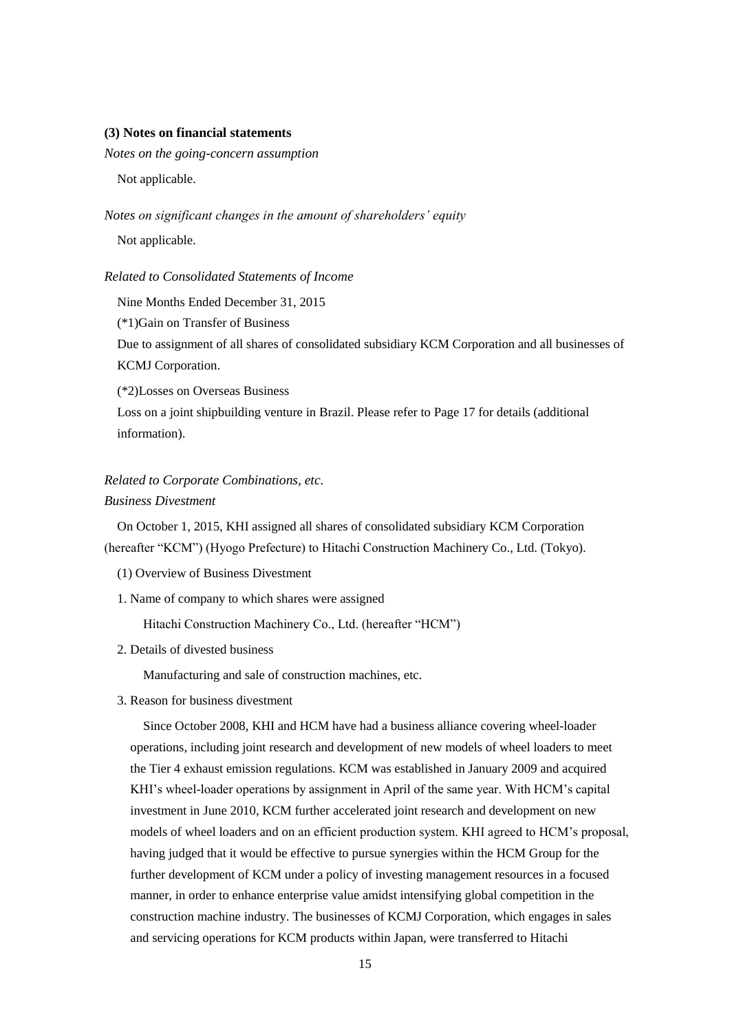### **(3) Notes on financial statements**

*Notes on the going-concern assumption* 

Not applicable.

*Notes on significant changes in the amount of shareholders' equity*

Not applicable.

## *Related to Consolidated Statements of Income*

Nine Months Ended December 31, 2015

(\*1)Gain on Transfer of Business

 Due to assignment of all shares of consolidated subsidiary KCM Corporation and all businesses of KCMJ Corporation.

(\*2)Losses on Overseas Business

 Loss on a joint shipbuilding venture in Brazil. Please refer to Page 17 for details (additional information).

## *Related to Corporate Combinations, etc.*

### *Business Divestment*

On October 1, 2015, KHI assigned all shares of consolidated subsidiary KCM Corporation (hereafter "KCM") (Hyogo Prefecture) to Hitachi Construction Machinery Co., Ltd. (Tokyo).

- (1) Overview of Business Divestment
- 1. Name of company to which shares were assigned

Hitachi Construction Machinery Co., Ltd. (hereafter "HCM")

2. Details of divested business

Manufacturing and sale of construction machines, etc.

3. Reason for business divestment

Since October 2008, KHI and HCM have had a business alliance covering wheel-loader operations, including joint research and development of new models of wheel loaders to meet the Tier 4 exhaust emission regulations. KCM was established in January 2009 and acquired KHI's wheel-loader operations by assignment in April of the same year. With HCM's capital investment in June 2010, KCM further accelerated joint research and development on new models of wheel loaders and on an efficient production system. KHI agreed to HCM's proposal, having judged that it would be effective to pursue synergies within the HCM Group for the further development of KCM under a policy of investing management resources in a focused manner, in order to enhance enterprise value amidst intensifying global competition in the construction machine industry. The businesses of KCMJ Corporation, which engages in sales and servicing operations for KCM products within Japan, were transferred to Hitachi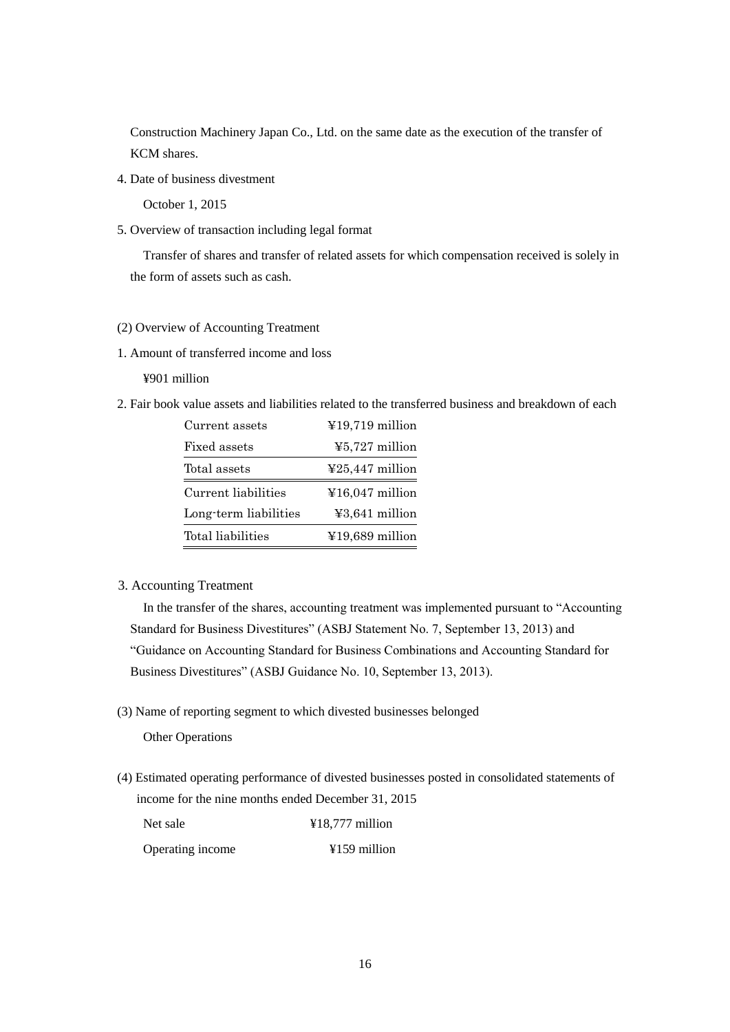Construction Machinery Japan Co., Ltd. on the same date as the execution of the transfer of KCM shares.

4. Date of business divestment

October 1, 2015

5. Overview of transaction including legal format

Transfer of shares and transfer of related assets for which compensation received is solely in the form of assets such as cash.

### (2) Overview of Accounting Treatment

1. Amount of transferred income and loss

¥901 million

2. Fair book value assets and liabilities related to the transferred business and breakdown of each

| Current assets        | ¥19,719 million                             |
|-----------------------|---------------------------------------------|
| Fixed assets          | $45,727$ million                            |
| Total assets          | $\textcolor{blue}{\textless}25,447$ million |
| Current liabilities   | $\text{\textsterling}16,047$ million        |
| Long-term liabilities | ¥3,641 million                              |
| Total liabilities     | $¥19,689$ million                           |

3. Accounting Treatment

In the transfer of the shares, accounting treatment was implemented pursuant to "Accounting Standard for Business Divestitures" (ASBJ Statement No. 7, September 13, 2013) and "Guidance on Accounting Standard for Business Combinations and Accounting Standard for Business Divestitures" (ASBJ Guidance No. 10, September 13, 2013).

(3) Name of reporting segment to which divested businesses belonged

Other Operations

(4) Estimated operating performance of divested businesses posted in consolidated statements of income for the nine months ended December 31, 2015

| Net sale         | $¥18,777$ million |
|------------------|-------------------|
| Operating income | $4159$ million    |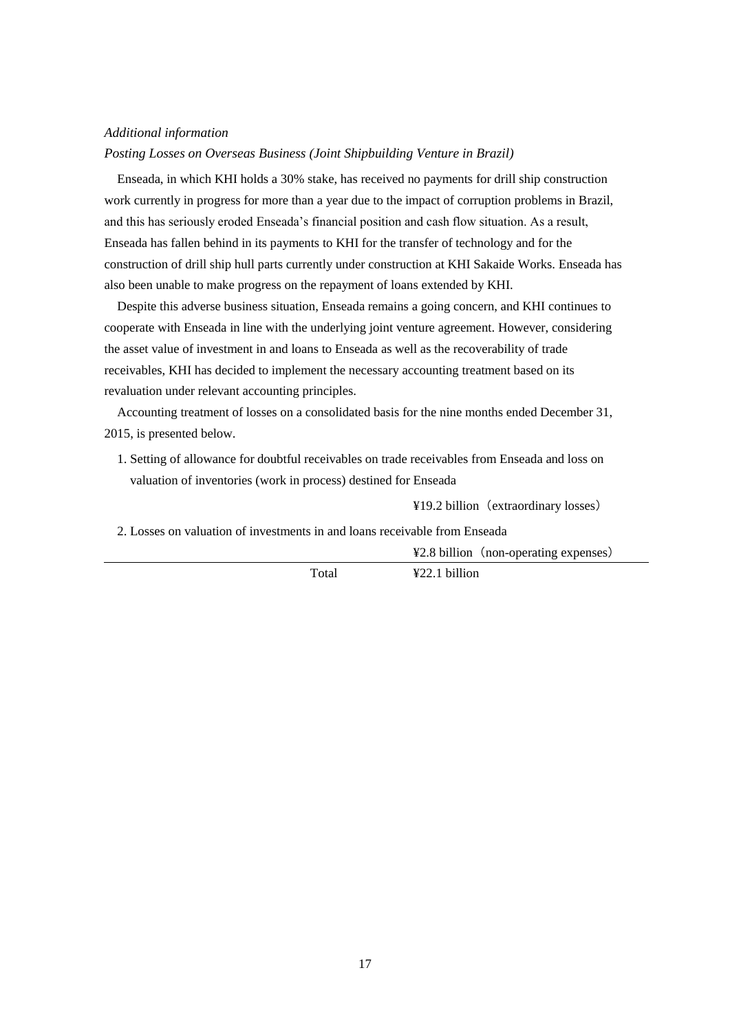### *Additional information*

*Posting Losses on Overseas Business (Joint Shipbuilding Venture in Brazil)*

Enseada, in which KHI holds a 30% stake, has received no payments for drill ship construction work currently in progress for more than a year due to the impact of corruption problems in Brazil, and this has seriously eroded Enseada's financial position and cash flow situation. As a result, Enseada has fallen behind in its payments to KHI for the transfer of technology and for the construction of drill ship hull parts currently under construction at KHI Sakaide Works. Enseada has also been unable to make progress on the repayment of loans extended by KHI.

 Despite this adverse business situation, Enseada remains a going concern, and KHI continues to cooperate with Enseada in line with the underlying joint venture agreement. However, considering the asset value of investment in and loans to Enseada as well as the recoverability of trade receivables, KHI has decided to implement the necessary accounting treatment based on its revaluation under relevant accounting principles.

 Accounting treatment of losses on a consolidated basis for the nine months ended December 31, 2015, is presented below.

1. Setting of allowance for doubtful receivables on trade receivables from Enseada and loss on valuation of inventories (work in process) destined for Enseada

¥19.2 billion(extraordinary losses)

2. Losses on valuation of investments in and loans receivable from Enseada

¥2.8 billion (non-operating expenses)

Total ¥22.1 billion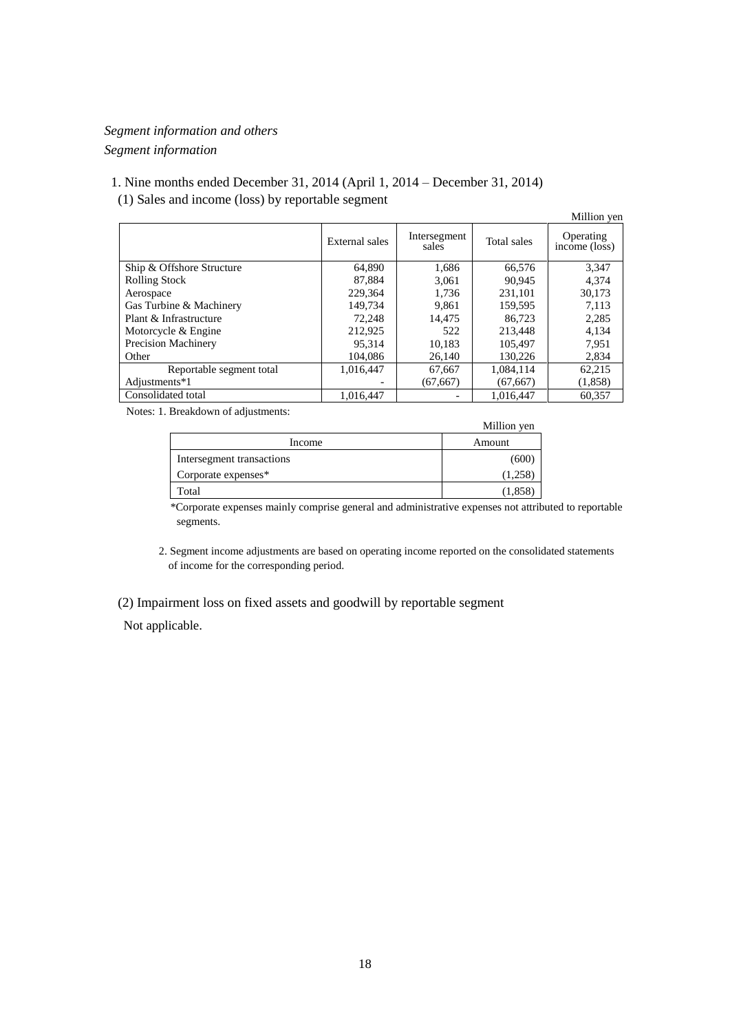## *Segment information and others Segment information*

## 1. Nine months ended December 31, 2014 (April 1, 2014 – December 31, 2014) (1) Sales and income (loss) by reportable segment

|                            |                       |                       |             | Million yen                |
|----------------------------|-----------------------|-----------------------|-------------|----------------------------|
|                            | <b>External sales</b> | Intersegment<br>sales | Total sales | Operating<br>income (loss) |
| Ship & Offshore Structure  | 64.890                | 1,686                 | 66,576      | 3,347                      |
| <b>Rolling Stock</b>       | 87.884                | 3.061                 | 90.945      | 4.374                      |
| Aerospace                  | 229.364               | 1.736                 | 231.101     | 30,173                     |
| Gas Turbine & Machinery    | 149.734               | 9,861                 | 159,595     | 7,113                      |
| Plant & Infrastructure     | 72,248                | 14.475                | 86.723      | 2,285                      |
| Motorcycle & Engine        | 212.925               | 522                   | 213,448     | 4,134                      |
| <b>Precision Machinery</b> | 95.314                | 10.183                | 105,497     | 7,951                      |
| Other                      | 104.086               | 26,140                | 130,226     | 2,834                      |
| Reportable segment total   | 1.016.447             | 67,667                | 1,084,114   | 62,215                     |
| Adjustments*1              |                       | (67, 667)             | (67, 667)   | (1,858)                    |
| Consolidated total         | 1,016,447             |                       | 1,016,447   | 60,357                     |

Notes: 1. Breakdown of adjustments:

|                           | Million yen |
|---------------------------|-------------|
| Income                    | Amount      |
| Intersegment transactions | (600)       |
| Corporate expenses*       | (1,258)     |
| Total                     | (1,858)     |

\*Corporate expenses mainly comprise general and administrative expenses not attributed to reportable segments.

2. Segment income adjustments are based on operating income reported on the consolidated statements of income for the corresponding period.

### (2) Impairment loss on fixed assets and goodwill by reportable segment

Not applicable.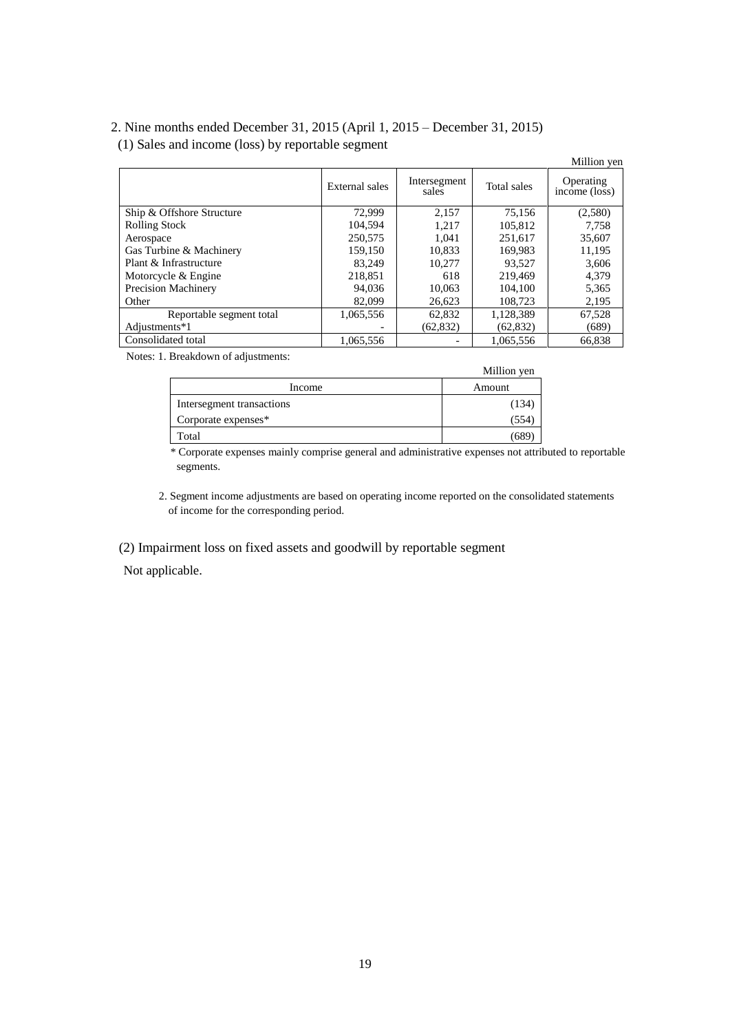## 2. Nine months ended December 31, 2015 (April 1, 2015 – December 31, 2015) (1) Sales and income (loss) by reportable segment

|                           |                |                          |             | Million yen                             |
|---------------------------|----------------|--------------------------|-------------|-----------------------------------------|
|                           | External sales | Intersegment<br>sales    | Total sales | Operating<br>$inc\overline{one}$ (loss) |
| Ship & Offshore Structure | 72,999         | 2,157                    | 75,156      | (2,580)                                 |
| <b>Rolling Stock</b>      | 104.594        | 1.217                    | 105.812     | 7.758                                   |
| Aerospace                 | 250,575        | 1.041                    | 251.617     | 35,607                                  |
| Gas Turbine & Machinery   | 159.150        | 10,833                   | 169,983     | 11,195                                  |
| Plant & Infrastructure    | 83.249         | 10,277                   | 93.527      | 3,606                                   |
| Motorcycle & Engine       | 218,851        | 618                      | 219,469     | 4.379                                   |
| Precision Machinery       | 94,036         | 10,063                   | 104.100     | 5,365                                   |
| Other                     | 82,099         | 26,623                   | 108.723     | 2,195                                   |
| Reportable segment total  | 1,065,556      | 62,832                   | 1,128,389   | 67.528                                  |
| Adjustments*1             |                | (62, 832)                | (62, 832)   | (689)                                   |
| Consolidated total        | 1,065,556      | $\overline{\phantom{a}}$ | 1,065,556   | 66,838                                  |

Notes: 1. Breakdown of adjustments:

|                           | Million yen |
|---------------------------|-------------|
| Income                    | Amount      |
| Intersegment transactions | (134)       |
| Corporate expenses*       | (554        |
| Total                     | (689        |

\* Corporate expenses mainly comprise general and administrative expenses not attributed to reportable segments.

2. Segment income adjustments are based on operating income reported on the consolidated statements of income for the corresponding period.

(2) Impairment loss on fixed assets and goodwill by reportable segment

Not applicable.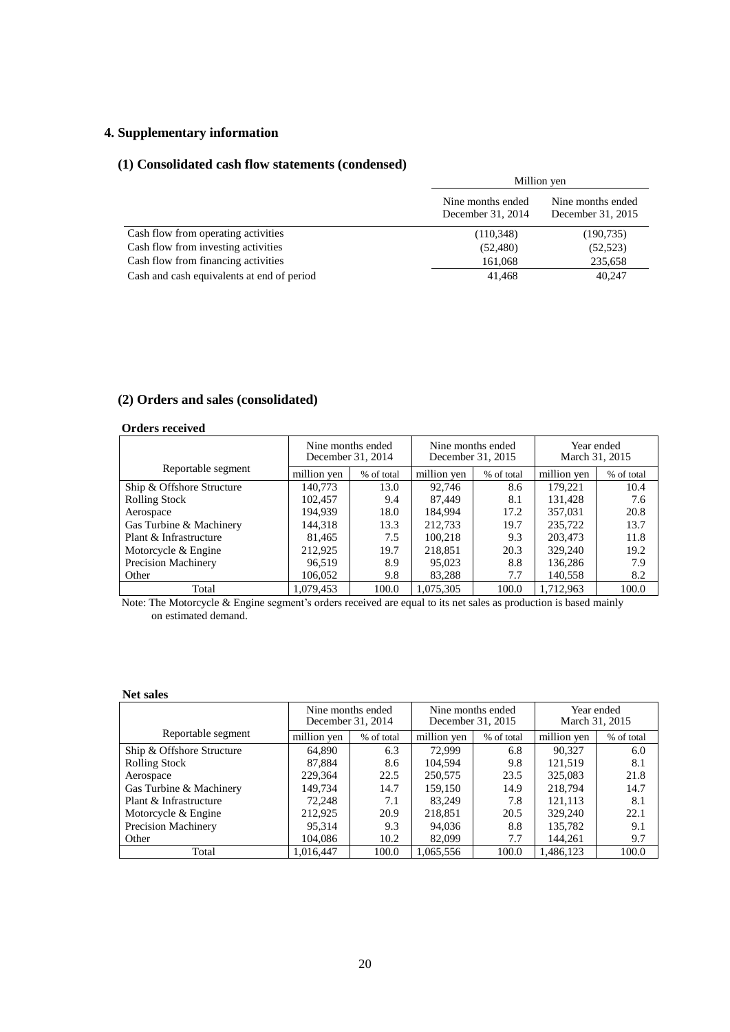## **4. Supplementary information**

### **(1) Consolidated cash flow statements (condensed)**

|                                            | Million yen                            |                                        |  |
|--------------------------------------------|----------------------------------------|----------------------------------------|--|
|                                            | Nine months ended<br>December 31, 2014 | Nine months ended<br>December 31, 2015 |  |
| Cash flow from operating activities        | (110, 348)                             | (190, 735)                             |  |
| Cash flow from investing activities        | (52, 480)                              | (52, 523)                              |  |
| Cash flow from financing activities        | 161,068                                | 235,658                                |  |
| Cash and cash equivalents at end of period | 41,468                                 | 40,247                                 |  |

### **(2) Orders and sales (consolidated)**

### **Orders received**

|                            | Nine months ended<br>December 31, 2014 |            | Nine months ended<br>December 31, 2015 |            | Year ended<br>March 31, 2015 |            |
|----------------------------|----------------------------------------|------------|----------------------------------------|------------|------------------------------|------------|
| Reportable segment         | million yen                            | % of total | million yen                            | % of total | million yen                  | % of total |
| Ship & Offshore Structure  | 140,773                                | 13.0       | 92.746                                 | 8.6        | 179.221                      | 10.4       |
| <b>Rolling Stock</b>       | 102.457                                | 9.4        | 87.449                                 | 8.1        | 131,428                      | 7.6        |
| Aerospace                  | 194.939                                | 18.0       | 184.994                                | 17.2       | 357.031                      | 20.8       |
| Gas Turbine & Machinery    | 144,318                                | 13.3       | 212.733                                | 19.7       | 235,722                      | 13.7       |
| Plant & Infrastructure     | 81,465                                 | 7.5        | 100.218                                | 9.3        | 203,473                      | 11.8       |
| Motorcycle & Engine        | 212,925                                | 19.7       | 218,851                                | 20.3       | 329,240                      | 19.2       |
| <b>Precision Machinery</b> | 96.519                                 | 8.9        | 95,023                                 | 8.8        | 136,286                      | 7.9        |
| Other                      | 106,052                                | 9.8        | 83,288                                 | 7.7        | 140,558                      | 8.2        |
| Total                      | 1,079,453                              | 100.0      | 1,075,305                              | 100.0      | 1,712,963                    | 100.0      |

Note: The Motorcycle & Engine segment's orders received are equal to its net sales as production is based mainly on estimated demand.

### **Net sales**

|                            | Nine months ended<br>December 31, 2014 |            | Nine months ended<br>December 31, 2015 |            | Year ended<br>March 31, 2015 |            |
|----------------------------|----------------------------------------|------------|----------------------------------------|------------|------------------------------|------------|
| Reportable segment         | million yen                            | % of total | million yen                            | % of total | million yen                  | % of total |
| Ship & Offshore Structure  | 64.890                                 | 6.3        | 72.999                                 | 6.8        | 90.327                       | 6.0        |
| <b>Rolling Stock</b>       | 87,884                                 | 8.6        | 104.594                                | 9.8        | 121.519                      | 8.1        |
| Aerospace                  | 229,364                                | 22.5       | 250,575                                | 23.5       | 325,083                      | 21.8       |
| Gas Turbine & Machinery    | 149,734                                | 14.7       | 159,150                                | 14.9       | 218,794                      | 14.7       |
| Plant & Infrastructure     | 72,248                                 | 7.1        | 83,249                                 | 7.8        | 121,113                      | 8.1        |
| Motorcycle & Engine        | 212,925                                | 20.9       | 218,851                                | 20.5       | 329,240                      | 22.1       |
| <b>Precision Machinery</b> | 95,314                                 | 9.3        | 94,036                                 | 8.8        | 135,782                      | 9.1        |
| Other                      | 104.086                                | 10.2       | 82,099                                 | 7.7        | 144.261                      | 9.7        |
| Total                      | 1,016,447                              | 100.0      | 1,065,556                              | 100.0      | 1,486,123                    | 100.0      |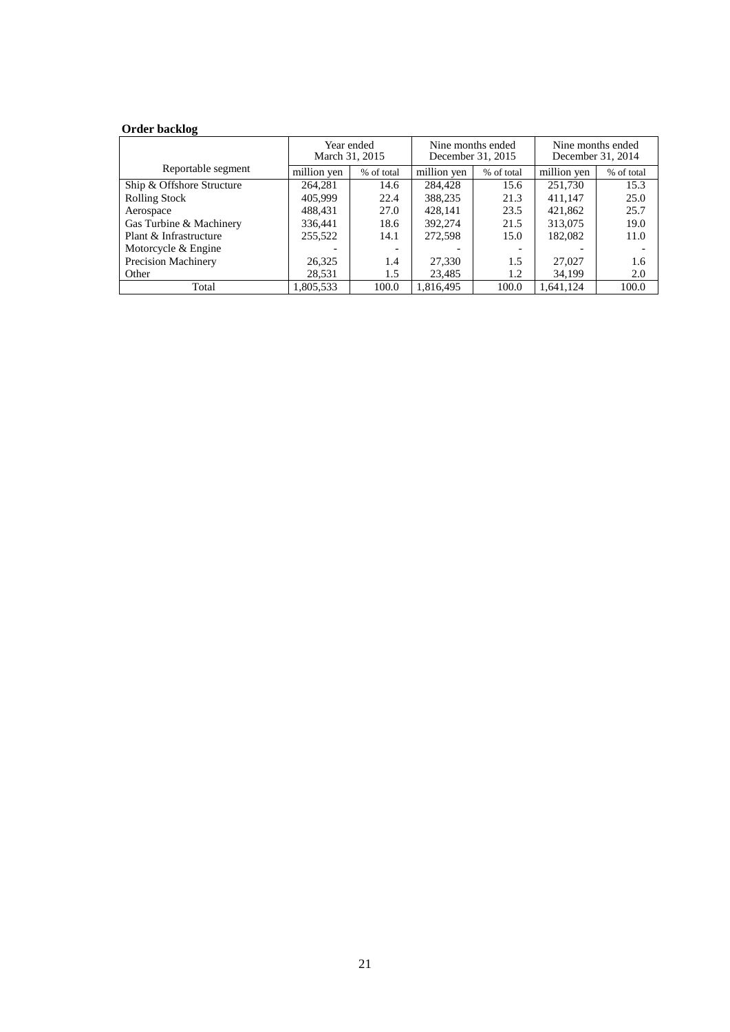### **Order backlog**

|                            | Year ended<br>March 31, 2015 |                          | Nine months ended<br>December 31, 2015 |            | Nine months ended<br>December 31, 2014 |            |
|----------------------------|------------------------------|--------------------------|----------------------------------------|------------|----------------------------------------|------------|
| Reportable segment         | million ven                  | % of total               | million yen                            | % of total | million yen                            | % of total |
| Ship & Offshore Structure  | 264,281                      | 14.6                     | 284,428                                | 15.6       | 251,730                                | 15.3       |
| <b>Rolling Stock</b>       | 405,999                      | 22.4                     | 388,235                                | 21.3       | 411,147                                | 25.0       |
| Aerospace                  | 488.431                      | 27.0                     | 428.141                                | 23.5       | 421,862                                | 25.7       |
| Gas Turbine & Machinery    | 336,441                      | 18.6                     | 392,274                                | 21.5       | 313,075                                | 19.0       |
| Plant & Infrastructure     | 255,522                      | 14.1                     | 272,598                                | 15.0       | 182,082                                | 11.0       |
| Motorcycle & Engine        |                              | $\overline{\phantom{a}}$ |                                        |            |                                        |            |
| <b>Precision Machinery</b> | 26,325                       | 1.4                      | 27,330                                 | 1.5        | 27,027                                 | 1.6        |
| Other                      | 28,531                       | 1.5                      | 23,485                                 | 1.2        | 34.199                                 | 2.0        |
| Total                      | 1.805.533                    | 100.0                    | 1,816,495                              | 100.0      | 1.641.124                              | 100.0      |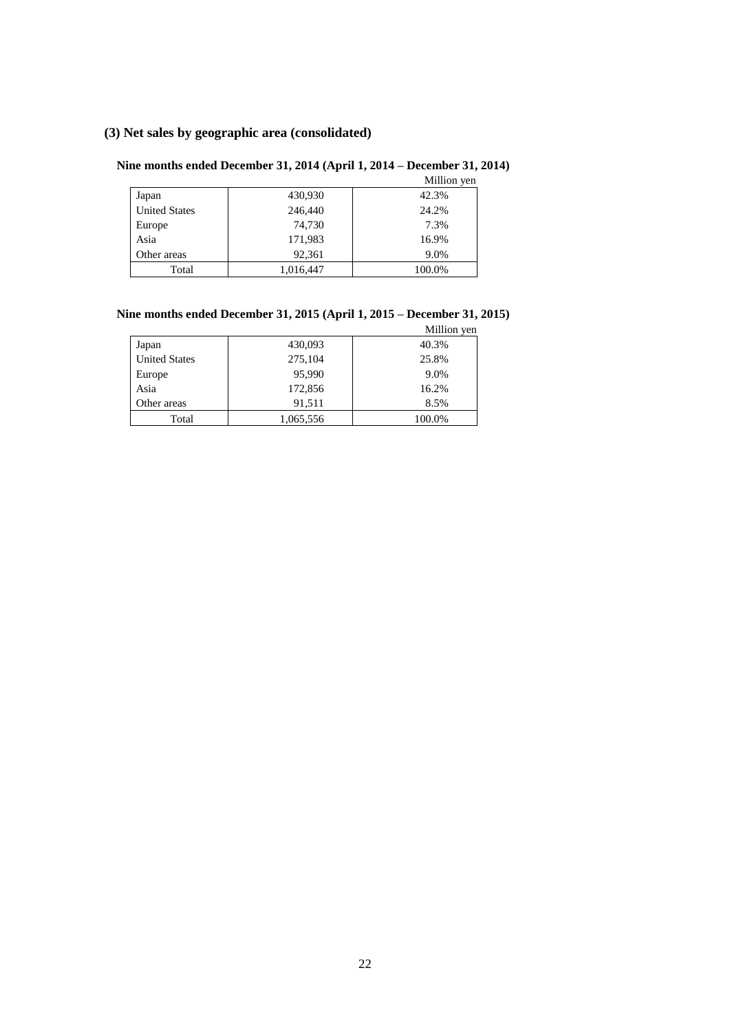### **(3) Net sales by geographic area (consolidated)**

### **Nine months ended December 31, 2014 (April 1, 2014 – December 31, 2014)**

|                      |           | Million yen |
|----------------------|-----------|-------------|
| Japan                | 430,930   | 42.3%       |
| <b>United States</b> | 246,440   | 24.2%       |
| Europe               | 74,730    | 7.3%        |
| Asia                 | 171,983   | 16.9%       |
| Other areas          | 92,361    | 9.0%        |
| Total                | 1,016,447 | 100.0%      |

# **Nine months ended December 31, 2015 (April 1, 2015 – December 31, 2015)**

|                      |           | Million yen |
|----------------------|-----------|-------------|
| Japan                | 430,093   | 40.3%       |
| <b>United States</b> | 275,104   | 25.8%       |
| Europe               | 95,990    | 9.0%        |
| Asia                 | 172,856   | 16.2%       |
| Other areas          | 91,511    | 8.5%        |
| Total                | 1,065,556 | 100.0%      |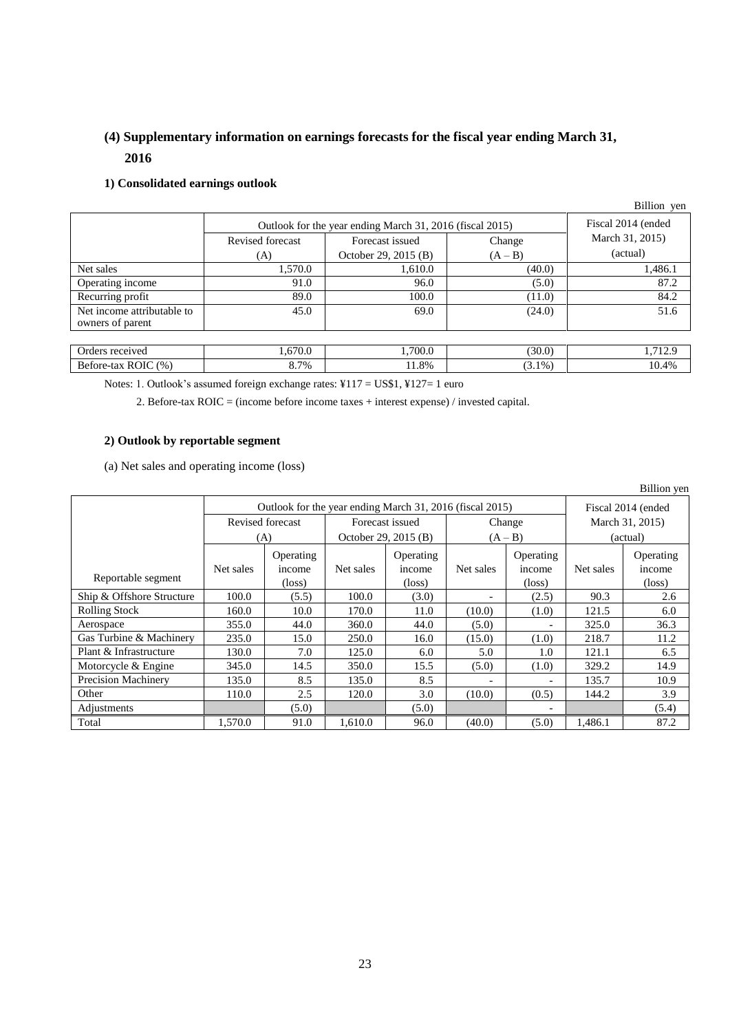## **(4) Supplementary information on earnings forecasts for the fiscal year ending March 31, 2016**

### **1) Consolidated earnings outlook**

|                                                |                                                          |                      |           | Billion yen     |
|------------------------------------------------|----------------------------------------------------------|----------------------|-----------|-----------------|
|                                                | Outlook for the year ending March 31, 2016 (fiscal 2015) | Fiscal 2014 (ended   |           |                 |
|                                                | Revised forecast                                         | Forecast issued      | Change    | March 31, 2015) |
|                                                | (A)                                                      | October 29, 2015 (B) | $(A - B)$ | (actual)        |
| Net sales                                      | 1.570.0                                                  | 1,610.0              | (40.0)    | 1,486.1         |
| Operating income                               | 91.0                                                     | 96.0                 | (5.0)     | 87.2            |
| Recurring profit                               | 89.0                                                     | 100.0                | (11.0)    | 84.2            |
| Net income attributable to<br>owners of parent | 45.0                                                     | 69.0                 | (24.0)    | 51.6            |
|                                                |                                                          |                      |           |                 |
| Orders received                                | 1,670.0                                                  | 1,700.0              | (30.0)    | 1,712.9         |
| Before-tax ROIC (%)                            | 8.7%                                                     | 11.8%                | $(3.1\%)$ | 10.4%           |

Notes: 1. Outlook's assumed foreign exchange rates: ¥117 = US\$1, ¥127= 1 euro

2. Before-tax ROIC = (income before income taxes + interest expense) / invested capital.

### **2) Outlook by reportable segment**

(a) Net sales and operating income (loss)

|                            |           |                                                          |           |                      |           |                          |                    | Billion yen     |
|----------------------------|-----------|----------------------------------------------------------|-----------|----------------------|-----------|--------------------------|--------------------|-----------------|
|                            |           | Outlook for the year ending March 31, 2016 (fiscal 2015) |           |                      |           |                          | Fiscal 2014 (ended |                 |
|                            |           | Revised forecast                                         |           | Forecast issued      |           | Change                   | March 31, 2015)    |                 |
|                            |           | (A)                                                      |           | October 29, 2015 (B) | $(A - B)$ |                          | (actual)           |                 |
|                            |           | Operating                                                |           | Operating            |           | Operating                |                    | Operating       |
|                            | Net sales | income                                                   | Net sales | income               | Net sales | income                   | Net sales          | income          |
| Reportable segment         |           | $(\text{loss})$                                          |           | $(\text{loss})$      |           | $(\text{loss})$          |                    | $(\text{loss})$ |
| Ship & Offshore Structure  | 100.0     | (5.5)                                                    | 100.0     | (3.0)                |           | (2.5)                    | 90.3               | 2.6             |
| <b>Rolling Stock</b>       | 160.0     | 10.0                                                     | 170.0     | 11.0                 | (10.0)    | (1.0)                    | 121.5              | 6.0             |
| Aerospace                  | 355.0     | 44.0                                                     | 360.0     | 44.0                 | (5.0)     | $\overline{\phantom{a}}$ | 325.0              | 36.3            |
| Gas Turbine & Machinery    | 235.0     | 15.0                                                     | 250.0     | 16.0                 | (15.0)    | (1.0)                    | 218.7              | 11.2            |
| Plant & Infrastructure     | 130.0     | 7.0                                                      | 125.0     | 6.0                  | 5.0       | 1.0                      | 121.1              | 6.5             |
| Motorcycle & Engine        | 345.0     | 14.5                                                     | 350.0     | 15.5                 | (5.0)     | (1.0)                    | 329.2              | 14.9            |
| <b>Precision Machinery</b> | 135.0     | 8.5                                                      | 135.0     | 8.5                  |           | $\overline{\phantom{0}}$ | 135.7              | 10.9            |
| Other                      | 110.0     | 2.5                                                      | 120.0     | 3.0                  | (10.0)    | (0.5)                    | 144.2              | 3.9             |
| Adjustments                |           | (5.0)                                                    |           | (5.0)                |           |                          |                    | (5.4)           |
| Total                      | 1,570.0   | 91.0                                                     | 1,610.0   | 96.0                 | (40.0)    | (5.0)                    | 1,486.1            | 87.2            |